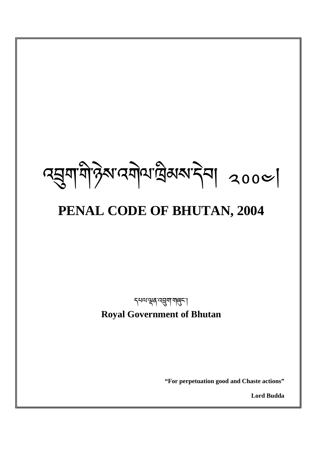**"For perpetuation good and Chaste actions"** 

**Lord Budda**

<mark>६५०पञ्चम् व्यञ्जूषा यालुरू ।</mark> **Royal Government of Bhutan** 

# **PENAL CODE OF BHUTAN, 2004**

འ-ག་གི་ཉེས་འགེལ་ ིམས་དེབ། ༢༠༠༤།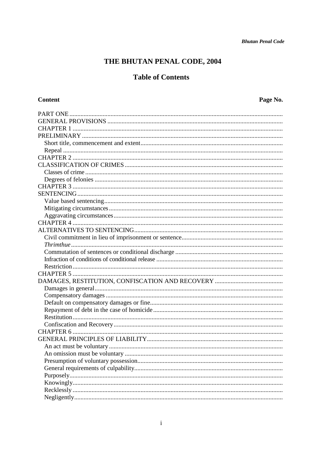# THE BHUTAN PENAL CODE, 2004

## **Table of Contents**

### Content

Page No.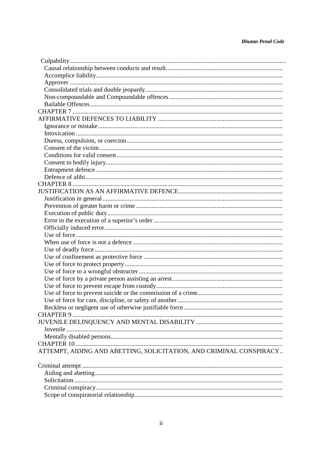| ATTEMPT, AIDING AND ABETTING, SOLICITATION, AND CRIMINAL CONSPIRACY |
|---------------------------------------------------------------------|
|                                                                     |
|                                                                     |
|                                                                     |
|                                                                     |
|                                                                     |
|                                                                     |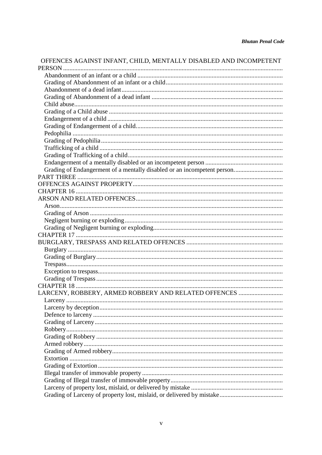# OFFENCES AGAINST INFANT, CHILD, MENTALLY DISABLED AND INCOMPETENT PERSON

| Grading of Endangerment of a mentally disabled or an incompetent person |
|-------------------------------------------------------------------------|
|                                                                         |
|                                                                         |
|                                                                         |
|                                                                         |
|                                                                         |
|                                                                         |
|                                                                         |
|                                                                         |
|                                                                         |
|                                                                         |
|                                                                         |
|                                                                         |
|                                                                         |
|                                                                         |
|                                                                         |
|                                                                         |
| LARCENY, ROBBERY, ARMED ROBBERY AND RELATED OFFENCES                    |
|                                                                         |
| Larceny by deception                                                    |
|                                                                         |
|                                                                         |
|                                                                         |
|                                                                         |
|                                                                         |
|                                                                         |
|                                                                         |
|                                                                         |
|                                                                         |
|                                                                         |
|                                                                         |
|                                                                         |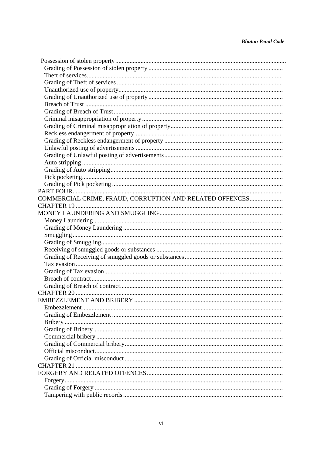| COMMERCIAL CRIME, FRAUD, CORRUPTION AND RELATED OFFENCES |
|----------------------------------------------------------|
|                                                          |
|                                                          |
|                                                          |
|                                                          |
|                                                          |
|                                                          |
|                                                          |
|                                                          |
|                                                          |
|                                                          |
|                                                          |
|                                                          |
|                                                          |
|                                                          |
|                                                          |
|                                                          |
|                                                          |
|                                                          |
|                                                          |
|                                                          |
|                                                          |
|                                                          |
|                                                          |
|                                                          |
|                                                          |
|                                                          |
|                                                          |
|                                                          |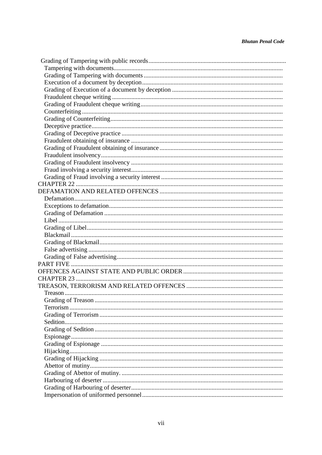#### **Bhutan Penal Code**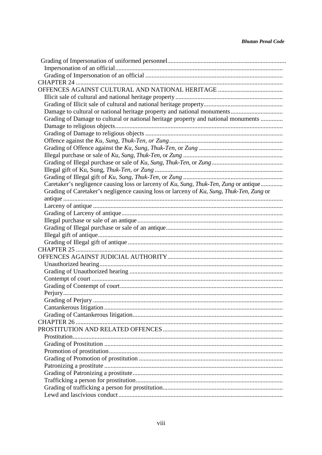| Grading of Damage to cultural or national heritage property and national monuments       |
|------------------------------------------------------------------------------------------|
|                                                                                          |
|                                                                                          |
|                                                                                          |
|                                                                                          |
|                                                                                          |
|                                                                                          |
|                                                                                          |
|                                                                                          |
| Caretaker's negligence causing loss or larceny of Ku, Sung, Thuk-Ten, Zung or antique    |
| Grading of Caretaker's negligence causing loss or larceny of Ku, Sung, Thuk-Ten, Zung or |
|                                                                                          |
|                                                                                          |
|                                                                                          |
|                                                                                          |
|                                                                                          |
|                                                                                          |
|                                                                                          |
|                                                                                          |
|                                                                                          |
|                                                                                          |
|                                                                                          |
|                                                                                          |
|                                                                                          |
|                                                                                          |
|                                                                                          |
|                                                                                          |
|                                                                                          |
|                                                                                          |
|                                                                                          |
|                                                                                          |
|                                                                                          |
|                                                                                          |
|                                                                                          |
|                                                                                          |
|                                                                                          |
|                                                                                          |
|                                                                                          |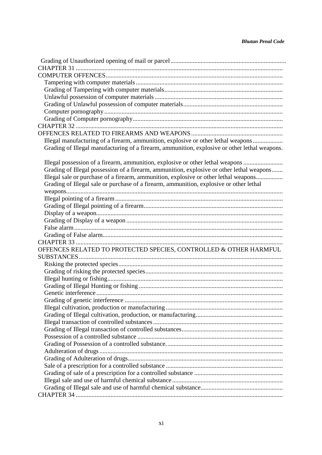| Illegal manufacturing of a firearm, ammunition, explosive or other lethal weapons             |
|-----------------------------------------------------------------------------------------------|
| Grading of Illegal manufacturing of a firearm, ammunition, explosive or other lethal weapons. |
|                                                                                               |
| Illegal possession of a firearm, ammunition, explosive or other lethal weapons                |
| Grading of Illegal possession of a firearm, ammunition, explosive or other lethal weapons     |
| Illegal sale or purchase of a firearm, ammunition, explosive or other lethal weapons          |
| Grading of Illegal sale or purchase of a firearm, ammunition, explosive or other lethal       |
|                                                                                               |
|                                                                                               |
|                                                                                               |
|                                                                                               |
|                                                                                               |
|                                                                                               |
|                                                                                               |
|                                                                                               |
| OFFENCES RELATED TO PROTECTED SPECIES, CONTROLLED & OTHER HARMFUL                             |
|                                                                                               |
|                                                                                               |
|                                                                                               |
|                                                                                               |
|                                                                                               |
|                                                                                               |
|                                                                                               |
|                                                                                               |
|                                                                                               |
|                                                                                               |
|                                                                                               |
|                                                                                               |
|                                                                                               |
|                                                                                               |
|                                                                                               |
|                                                                                               |
|                                                                                               |
|                                                                                               |
|                                                                                               |
|                                                                                               |
|                                                                                               |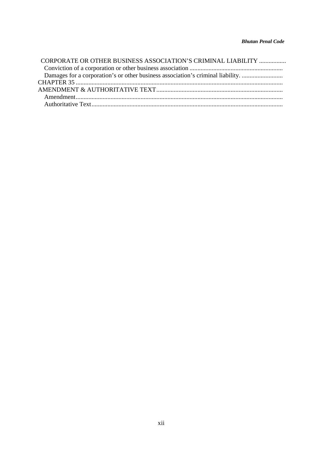| CORPORATE OR OTHER BUSINESS ASSOCIATION'S CRIMINAL LIABILITY                    |
|---------------------------------------------------------------------------------|
|                                                                                 |
| Damages for a corporation's or other business association's criminal liability. |
|                                                                                 |
|                                                                                 |
|                                                                                 |
|                                                                                 |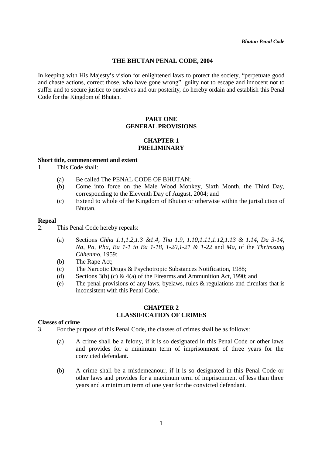#### **THE BHUTAN PENAL CODE, 2004**

In keeping with His Majesty's vision for enlightened laws to protect the society, "perpetuate good and chaste actions, correct those, who have gone wrong", guilty not to escape and innocent not to suffer and to secure justice to ourselves and our posterity, do hereby ordain and establish this Penal Code for the Kingdom of Bhutan.

#### **PART ONE GENERAL PROVISIONS**

#### **CHAPTER 1 PRELIMINARY**

#### **Short title, commencement and extent**

- 1. This Code shall:
	- (a) Be called The PENAL CODE OF BHUTAN;
	- (b) Come into force on the Male Wood Monkey, Sixth Month, the Third Day, corresponding to the Eleventh Day of August, 2004; and
	- (c) Extend to whole of the Kingdom of Bhutan or otherwise within the jurisdiction of Bhutan.

#### **Repeal**

- 2. This Penal Code hereby repeals:
	- (a) Sections *Chha 1.1,1.2,1.3 &1.4, Tha 1.9, 1.10,1.11,1.12,1.13 & 1.14, Da 3-14, Na, Pa, Pha, Ba 1-1 to Ba 1-18, 1-20,1-21 & 1-22* and *Ma,* of the *Thrimzung Chhenmo,* 1959;
	- (b) The Rape Act;
	- (c) The Narcotic Drugs & Psychotropic Substances Notification, 1988;
	- (d) Sections  $3(b)$  (c) &  $4(a)$  of the Firearms and Ammunition Act, 1990; and
	- (e) The penal provisions of any laws, byelaws, rules & regulations and circulars that is inconsistent with this Penal Code.

#### **CHAPTER 2 CLASSIFICATION OF CRIMES**

#### **Classes of crime**

- 3. For the purpose of this Penal Code, the classes of crimes shall be as follows:
	- (a) A crime shall be a felony, if it is so designated in this Penal Code or other laws and provides for a minimum term of imprisonment of three years for the convicted defendant.
	- (b) A crime shall be a misdemeanour, if it is so designated in this Penal Code or other laws and provides for a maximum term of imprisonment of less than three years and a minimum term of one year for the convicted defendant.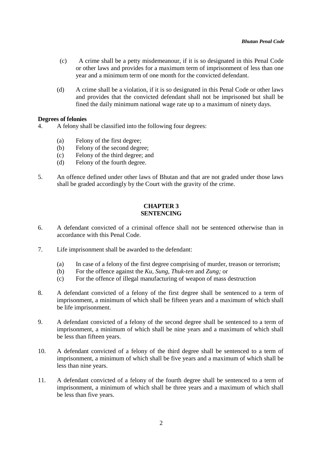- (c) A crime shall be a petty misdemeanour, if it is so designated in this Penal Code or other laws and provides for a maximum term of imprisonment of less than one year and a minimum term of one month for the convicted defendant.
- (d) A crime shall be a violation, if it is so designated in this Penal Code or other laws and provides that the convicted defendant shall not be imprisoned but shall be fined the daily minimum national wage rate up to a maximum of ninety days.

#### **Degrees of felonies**

- 4. A felony shall be classified into the following four degrees:
	- (a) Felony of the first degree;
	- (b) Felony of the second degree;
	- (c) Felony of the third degree; and
	- (d) Felony of the fourth degree.
- 5. An offence defined under other laws of Bhutan and that are not graded under those laws shall be graded accordingly by the Court with the gravity of the crime.

#### **CHAPTER 3 SENTENCING**

- 6. A defendant convicted of a criminal offence shall not be sentenced otherwise than in accordance with this Penal Code.
- 7. Life imprisonment shall be awarded to the defendant:
	- (a) In case of a felony of the first degree comprising of murder, treason or terrorism;
	- (b) For the offence against the *Ku, Sung, Thuk-ten* and *Zung;* or
	- (c) For the offence of illegal manufacturing of weapon of mass destruction
- 8. A defendant convicted of a felony of the first degree shall be sentenced to a term of imprisonment, a minimum of which shall be fifteen years and a maximum of which shall be life imprisonment.
- 9. A defendant convicted of a felony of the second degree shall be sentenced to a term of imprisonment, a minimum of which shall be nine years and a maximum of which shall be less than fifteen years.
- 10. A defendant convicted of a felony of the third degree shall be sentenced to a term of imprisonment, a minimum of which shall be five years and a maximum of which shall be less than nine years.
- 11. A defendant convicted of a felony of the fourth degree shall be sentenced to a term of imprisonment, a minimum of which shall be three years and a maximum of which shall be less than five years.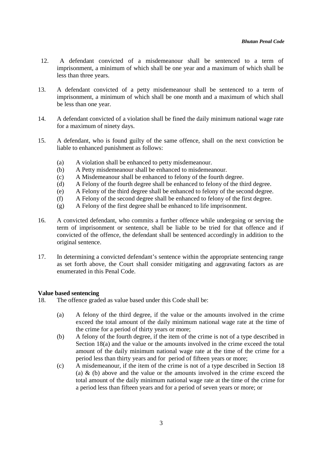- 12. A defendant convicted of a misdemeanour shall be sentenced to a term of imprisonment, a minimum of which shall be one year and a maximum of which shall be less than three years.
- 13. A defendant convicted of a petty misdemeanour shall be sentenced to a term of imprisonment, a minimum of which shall be one month and a maximum of which shall be less than one year.
- 14. A defendant convicted of a violation shall be fined the daily minimum national wage rate for a maximum of ninety days.
- 15. A defendant, who is found guilty of the same offence, shall on the next conviction be liable to enhanced punishment as follows:
	- (a) A violation shall be enhanced to petty misdemeanour.
	- (b) A Petty misdemeanour shall be enhanced to misdemeanour.
	- (c) A Misdemeanour shall be enhanced to felony of the fourth degree.
	- (d) A Felony of the fourth degree shall be enhanced to felony of the third degree.
	- (e) A Felony of the third degree shall be enhanced to felony of the second degree.
	- (f) A Felony of the second degree shall be enhanced to felony of the first degree.
	- (g) A Felony of the first degree shall be enhanced to life imprisonment.
- 16. A convicted defendant, who commits a further offence while undergoing or serving the term of imprisonment or sentence, shall be liable to be tried for that offence and if convicted of the offence, the defendant shall be sentenced accordingly in addition to the original sentence.
- 17. In determining a convicted defendant's sentence within the appropriate sentencing range as set forth above, the Court shall consider mitigating and aggravating factors as are enumerated in this Penal Code.

#### **Value based sentencing**

- 18. The offence graded as value based under this Code shall be:
	- (a) A felony of the third degree, if the value or the amounts involved in the crime exceed the total amount of the daily minimum national wage rate at the time of the crime for a period of thirty years or more;
	- (b) A felony of the fourth degree, if the item of the crime is not of a type described in Section 18(a) and the value or the amounts involved in the crime exceed the total amount of the daily minimum national wage rate at the time of the crime for a period less than thirty years and for period of fifteen years or more;
	- (c) A misdemeanour, if the item of the crime is not of a type described in Section 18 (a)  $\&$  (b) above and the value or the amounts involved in the crime exceed the total amount of the daily minimum national wage rate at the time of the crime for a period less than fifteen years and for a period of seven years or more; or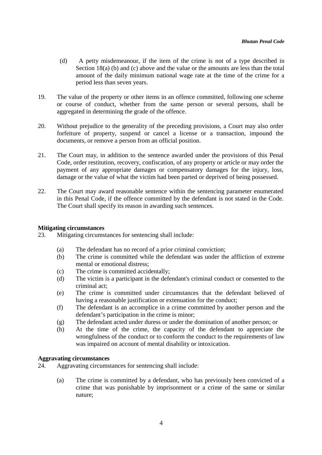- (d) A petty misdemeanour, if the item of the crime is not of a type described in Section 18(a) (b) and (c) above and the value or the amounts are less than the total amount of the daily minimum national wage rate at the time of the crime for a period less than seven years.
- 19. The value of the property or other items in an offence committed, following one scheme or course of conduct, whether from the same person or several persons, shall be aggregated in determining the grade of the offence.
- 20. Without prejudice to the generality of the preceding provisions, a Court may also order forfeiture of property, suspend or cancel a license or a transaction, impound the documents, or remove a person from an official position.
- 21. The Court may, in addition to the sentence awarded under the provisions of this Penal Code, order restitution, recovery, confiscation, of any property or article or may order the payment of any appropriate damages or compensatory damages for the injury, loss, damage or the value of what the victim had been parted or deprived of being possessed.
- 22. The Court may award reasonable sentence within the sentencing parameter enumerated in this Penal Code, if the offence committed by the defendant is not stated in the Code. The Court shall specify its reason in awarding such sentences.

#### **Mitigating circumstances**

23. Mitigating circumstances for sentencing shall include:

- (a) The defendant has no record of a prior criminal conviction;
- (b) The crime is committed while the defendant was under the affliction of extreme mental or emotional distress;
- (c) The crime is committed accidentally;
- (d) The victim is a participant in the defendant's criminal conduct or consented to the criminal act;
- (e) The crime is committed under circumstances that the defendant believed of having a reasonable justification or extenuation for the conduct;
- (f) The defendant is an accomplice in a crime committed by another person and the defendant's participation in the crime is minor;
- (g) The defendant acted under duress or under the domination of another person; or
- (h) At the time of the crime, the capacity of the defendant to appreciate the wrongfulness of the conduct or to conform the conduct to the requirements of law was impaired on account of mental disability or intoxication.

#### **Aggravating circumstances**

- 24. Aggravating circumstances for sentencing shall include:
	- (a) The crime is committed by a defendant, who has previously been convicted of a crime that was punishable by imprisonment or a crime of the same or similar nature;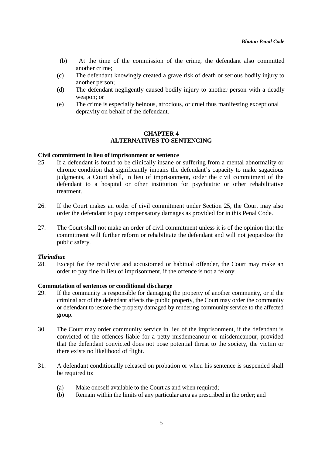- (b) At the time of the commission of the crime, the defendant also committed another crime;
- (c) The defendant knowingly created a grave risk of death or serious bodily injury to another person;
- (d) The defendant negligently caused bodily injury to another person with a deadly weapon; or
- (e) The crime is especially heinous, atrocious, or cruel thus manifesting exceptional depravity on behalf of the defendant.

#### **CHAPTER 4 ALTERNATIVES TO SENTENCING**

#### **Civil commitment in lieu of imprisonment or sentence**

- 25. If a defendant is found to be clinically insane or suffering from a mental abnormality or chronic condition that significantly impairs the defendant's capacity to make sagacious judgments, a Court shall, in lieu of imprisonment, order the civil commitment of the defendant to a hospital or other institution for psychiatric or other rehabilitative treatment.
- 26. If the Court makes an order of civil commitment under Section 25, the Court may also order the defendant to pay compensatory damages as provided for in this Penal Code.
- 27. The Court shall not make an order of civil commitment unless it is of the opinion that the commitment will further reform or rehabilitate the defendant and will not jeopardize the public safety.

#### *Thrimthue*

28. Except for the recidivist and accustomed or habitual offender, the Court may make an order to pay fine in lieu of imprisonment, if the offence is not a felony.

#### **Commutation of sentences or conditional discharge**

- 29. If the community is responsible for damaging the property of another community, or if the criminal act of the defendant affects the public property, the Court may order the community or defendant to restore the property damaged by rendering community service to the affected group.
- 30. The Court may order community service in lieu of the imprisonment, if the defendant is convicted of the offences liable for a petty misdemeanour or misdemeanour, provided that the defendant convicted does not pose potential threat to the society, the victim or there exists no likelihood of flight.
- 31. A defendant conditionally released on probation or when his sentence is suspended shall be required to:
	- (a) Make oneself available to the Court as and when required;
	- (b) Remain within the limits of any particular area as prescribed in the order; and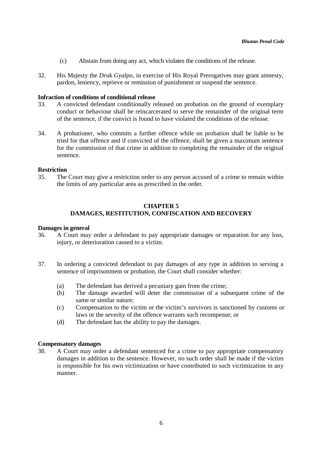- (c) Abstain from doing any act, which violates the conditions of the release.
- 32. His Majesty the *Druk Gyalpo*, in exercise of His Royal Prerogatives may grant amnesty, pardon, leniency, reprieve or remission of punishment or suspend the sentence.

#### **Infraction of conditions of conditional release**

- 33. A convicted defendant conditionally released on probation on the ground of exemplary conduct or behaviour shall be reincarcerated to serve the remainder of the original term of the sentence, if the convict is found to have violated the conditions of the release.
- 34. A probationer, who commits a further offence while on probation shall be liable to be tried for that offence and if convicted of the offence, shall be given a maximum sentence for the commission of that crime in addition to completing the remainder of the original sentence.

#### **Restriction**

35. The Court may give a restriction order to any person accused of a crime to remain within the limits of any particular area as prescribed in the order.

#### **CHAPTER 5 DAMAGES, RESTITUTION, CONFISCATION AND RECOVERY**

#### **Damages in general**

- 36. A Court may order a defendant to pay appropriate damages or reparation for any loss, injury, or deterioration caused to a victim.
- 37. In ordering a convicted defendant to pay damages of any type in addition to serving a sentence of imprisonment or probation, the Court shall consider whether:
	- (a) The defendant has derived a pecuniary gain from the crime;
	- (b) The damage awarded will deter the commission of a subsequent crime of the same or similar nature;
	- (c) Compensation to the victim or the victim's survivors is sanctioned by customs or laws or the severity of the offence warrants such recompense; or
	- (d) The defendant has the ability to pay the damages.

#### **Compensatory damages**

38. A Court may order a defendant sentenced for a crime to pay appropriate compensatory damages in addition to the sentence. However, no such order shall be made if the victim is responsible for his own victimization or have contributed to such victimization in any manner.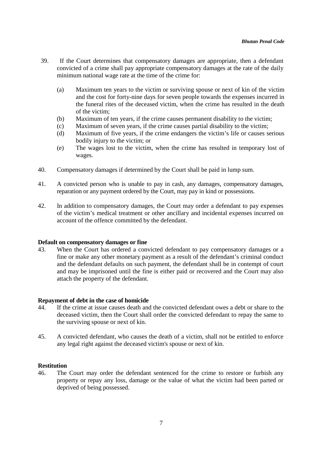- 39. If the Court determines that compensatory damages are appropriate, then a defendant convicted of a crime shall pay appropriate compensatory damages at the rate of the daily minimum national wage rate at the time of the crime for:
	- (a) Maximum ten years to the victim or surviving spouse or next of kin of the victim and the cost for forty-nine days for seven people towards the expenses incurred in the funeral rites of the deceased victim, when the crime has resulted in the death of the victim;
	- (b) Maximum of ten years, if the crime causes permanent disability to the victim;
	- (c) Maximum of seven years, if the crime causes partial disability to the victim;
	- (d) Maximum of five years, if the crime endangers the victim's life or causes serious bodily injury to the victim; or
	- (e) The wages lost to the victim, when the crime has resulted in temporary lost of wages.
- 40. Compensatory damages if determined by the Court shall be paid in lump sum.
- 41. A convicted person who is unable to pay in cash, any damages, compensatory damages, reparation or any payment ordered by the Court, may pay in kind or possessions.
- 42. In addition to compensatory damages, the Court may order a defendant to pay expenses of the victim's medical treatment or other ancillary and incidental expenses incurred on account of the offence committed by the defendant.

#### **Default on compensatory damages or fine**

43. When the Court has ordered a convicted defendant to pay compensatory damages or a fine or make any other monetary payment as a result of the defendant's criminal conduct and the defendant defaults on such payment, the defendant shall be in contempt of court and may be imprisoned until the fine is either paid or recovered and the Court may also attach the property of the defendant.

#### **Repayment of debt in the case of homicide**

- 44. If the crime at issue causes death and the convicted defendant owes a debt or share to the deceased victim, then the Court shall order the convicted defendant to repay the same to the surviving spouse or next of kin.
- 45. A convicted defendant, who causes the death of a victim, shall not be entitled to enforce any legal right against the deceased victim's spouse or next of kin.

#### **Restitution**

46. The Court may order the defendant sentenced for the crime to restore or furbish any property or repay any loss, damage or the value of what the victim had been parted or deprived of being possessed.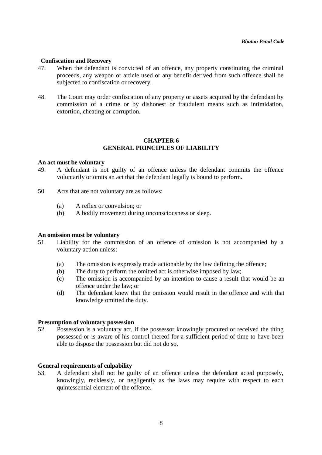#### **Confiscation and Recovery**

- 47. When the defendant is convicted of an offence, any property constituting the criminal proceeds, any weapon or article used or any benefit derived from such offence shall be subjected to confiscation or recovery.
- 48. The Court may order confiscation of any property or assets acquired by the defendant by commission of a crime or by dishonest or fraudulent means such as intimidation, extortion, cheating or corruption.

#### **CHAPTER 6 GENERAL PRINCIPLES OF LIABILITY**

#### **An act must be voluntary**

- 49. A defendant is not guilty of an offence unless the defendant commits the offence voluntarily or omits an act that the defendant legally is bound to perform.
- 50. Acts that are not voluntary are as follows:
	- (a) A reflex or convulsion; or
	- (b) A bodily movement during unconsciousness or sleep.

#### **An omission must be voluntary**

- 51. Liability for the commission of an offence of omission is not accompanied by a voluntary action unless:
	- (a) The omission is expressly made actionable by the law defining the offence;
	- (b) The duty to perform the omitted act is otherwise imposed by law;
	- (c) The omission is accompanied by an intention to cause a result that would be an offence under the law; or
	- (d) The defendant knew that the omission would result in the offence and with that knowledge omitted the duty.

#### **Presumption of voluntary possession**

52. Possession is a voluntary act, if the possessor knowingly procured or received the thing possessed or is aware of his control thereof for a sufficient period of time to have been able to dispose the possession but did not do so.

#### **General requirements of culpability**

53. A defendant shall not be guilty of an offence unless the defendant acted purposely, knowingly, recklessly, or negligently as the laws may require with respect to each quintessential element of the offence.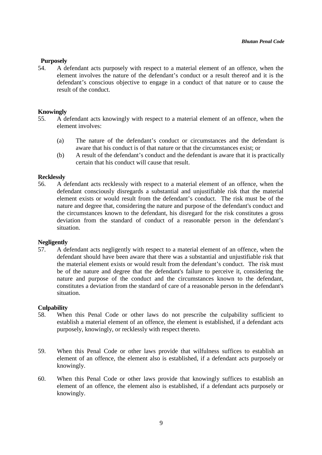#### **Purposely**

54. A defendant acts purposely with respect to a material element of an offence, when the element involves the nature of the defendant's conduct or a result thereof and it is the defendant's conscious objective to engage in a conduct of that nature or to cause the result of the conduct.

#### **Knowingly**

- 55. A defendant acts knowingly with respect to a material element of an offence, when the element involves:
	- (a) The nature of the defendant's conduct or circumstances and the defendant is aware that his conduct is of that nature or that the circumstances exist; or
	- (b) A result of the defendant's conduct and the defendant is aware that it is practically certain that his conduct will cause that result.

#### **Recklessly**

56. A defendant acts recklessly with respect to a material element of an offence, when the defendant consciously disregards a substantial and unjustifiable risk that the material element exists or would result from the defendant's conduct. The risk must be of the nature and degree that, considering the nature and purpose of the defendant's conduct and the circumstances known to the defendant, his disregard for the risk constitutes a gross deviation from the standard of conduct of a reasonable person in the defendant's situation.

#### **Negligently**

57. A defendant acts negligently with respect to a material element of an offence, when the defendant should have been aware that there was a substantial and unjustifiable risk that the material element exists or would result from the defendant's conduct. The risk must be of the nature and degree that the defendant's failure to perceive it, considering the nature and purpose of the conduct and the circumstances known to the defendant, constitutes a deviation from the standard of care of a reasonable person in the defendant's situation.

#### **Culpability**

- 58. When this Penal Code or other laws do not prescribe the culpability sufficient to establish a material element of an offence, the element is established, if a defendant acts purposely, knowingly, or recklessly with respect thereto.
- 59. When this Penal Code or other laws provide that wilfulness suffices to establish an element of an offence, the element also is established, if a defendant acts purposely or knowingly.
- 60. When this Penal Code or other laws provide that knowingly suffices to establish an element of an offence, the element also is established, if a defendant acts purposely or knowingly.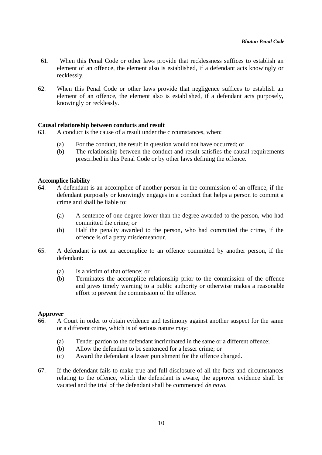- 61. When this Penal Code or other laws provide that recklessness suffices to establish an element of an offence, the element also is established, if a defendant acts knowingly or recklessly.
- 62. When this Penal Code or other laws provide that negligence suffices to establish an element of an offence, the element also is established, if a defendant acts purposely, knowingly or recklessly.

#### **Causal relationship between conducts and result**

63. A conduct is the cause of a result under the circumstances, when:

- (a) For the conduct, the result in question would not have occurred; or
- (b) The relationship between the conduct and result satisfies the causal requirements prescribed in this Penal Code or by other laws defining the offence.

#### **Accomplice liability**

- 64. A defendant is an accomplice of another person in the commission of an offence, if the defendant purposely or knowingly engages in a conduct that helps a person to commit a crime and shall be liable to:
	- (a) A sentence of one degree lower than the degree awarded to the person, who had committed the crime; or
	- (b) Half the penalty awarded to the person, who had committed the crime, if the offence is of a petty misdemeanour.
- 65. A defendant is not an accomplice to an offence committed by another person, if the defendant:
	- (a) Is a victim of that offence; or
	- (b) Terminates the accomplice relationship prior to the commission of the offence and gives timely warning to a public authority or otherwise makes a reasonable effort to prevent the commission of the offence.

#### **Approver**

- 66. A Court in order to obtain evidence and testimony against another suspect for the same or a different crime, which is of serious nature may:
	- (a) Tender pardon to the defendant incriminated in the same or a different offence;
	- (b) Allow the defendant to be sentenced for a lesser crime; or
	- (c) Award the defendant a lesser punishment for the offence charged.
- 67. If the defendant fails to make true and full disclosure of all the facts and circumstances relating to the offence, which the defendant is aware, the approver evidence shall be vacated and the trial of the defendant shall be commenced *de novo.*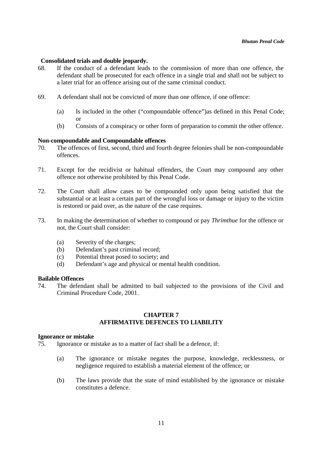#### **Consolidated trials and double jeopardy.**

- 68. If the conduct of a defendant leads to the commission of more than one offence, the defendant shall be prosecuted for each offence in a single trial and shall not be subject to a later trial for an offence arising out of the same criminal conduct.
- 69. A defendant shall not be convicted of more than one offence, if one offence:
	- (a) Is included in the other ("compoundable offence")as defined in this Penal Code; or
	- (b) Consists of a conspiracy or other form of preparation to commit the other offence.

#### **Non-compoundable and Compoundable offences**

- 70. The offences of first, second, third and fourth degree felonies shall be non-compoundable offences.
- 71. Except for the recidivist or habitual offenders, the Court may compound any other offence not otherwise prohibited by this Penal Code.
- 72. The Court shall allow cases to be compounded only upon being satisfied that the substantial or at least a certain part of the wrongful loss or damage or injury to the victim is restored or paid over, as the nature of the case requires.
- 73. In making the determination of whether to compound or pay *Thrimthue* for the offence or not, the Court shall consider:
	- (a) Severity of the charges;
	- (b) Defendant's past criminal record;
	- (c) Potential threat posed to society; and
	- (d) Defendant's age and physical or mental health condition.

#### **Bailable Offences**

74. The defendant shall be admitted to bail subjected to the provisions of the Civil and Criminal Procedure Code, 2001.

#### **CHAPTER 7 AFFIRMATIVE DEFENCES TO LIABILITY**

#### **Ignorance or mistake**

75. Ignorance or mistake as to a matter of fact shall be a defence, if:

- (a) The ignorance or mistake negates the purpose, knowledge, recklessness, or negligence required to establish a material element of the offence; or
- (b) The laws provide that the state of mind established by the ignorance or mistake constitutes a defence.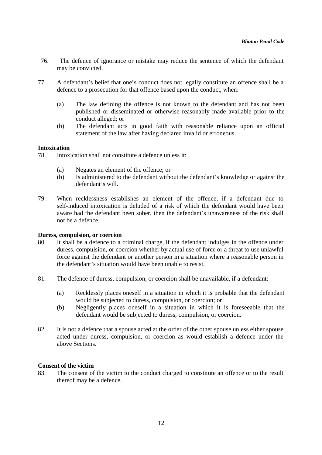- 76. The defence of ignorance or mistake may reduce the sentence of which the defendant may be convicted.
- 77. A defendant's belief that one's conduct does not legally constitute an offence shall be a defence to a prosecution for that offence based upon the conduct, when:
	- (a) The law defining the offence is not known to the defendant and has not been published or disseminated or otherwise reasonably made available prior to the conduct alleged; or
	- (b) The defendant acts in good faith with reasonable reliance upon an official statement of the law after having declared invalid or erroneous.

#### **Intoxication**

- 78. Intoxication shall not constitute a defence unless it:
	- (a) Negates an element of the offence; or
	- (b) Is administered to the defendant without the defendant's knowledge or against the defendant's will.
- 79. When recklessness establishes an element of the offence, if a defendant due to self-induced intoxication is deluded of a risk of which the defendant would have been aware had the defendant been sober, then the defendant's unawareness of the risk shall not be a defence.

#### **Duress, compulsion, or coercion**

- 80. It shall be a defence to a criminal charge, if the defendant indulges in the offence under duress, compulsion, or coercion whether by actual use of force or a threat to use unlawful force against the defendant or another person in a situation where a reasonable person in the defendant's situation would have been unable to resist.
- 81. The defence of duress, compulsion, or coercion shall be unavailable, if a defendant:
	- (a) Recklessly places oneself in a situation in which it is probable that the defendant would be subjected to duress, compulsion, or coercion; or
	- (b) Negligently places oneself in a situation in which it is foreseeable that the defendant would be subjected to duress, compulsion, or coercion.
- 82. It is not a defence that a spouse acted at the order of the other spouse unless either spouse acted under duress, compulsion, or coercion as would establish a defence under the above Sections.

#### **Consent of the victim**

83. The consent of the victim to the conduct charged to constitute an offence or to the result thereof may be a defence.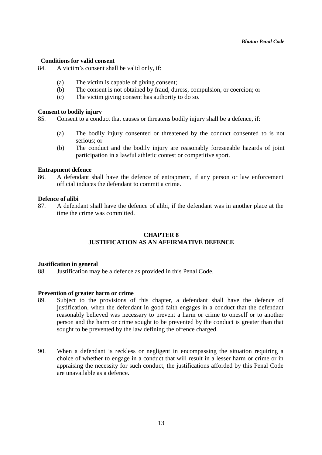#### **Conditions for valid consent**

84. A victim's consent shall be valid only, if:

- (a) The victim is capable of giving consent;
- (b) The consent is not obtained by fraud, duress, compulsion, or coercion; or
- (c) The victim giving consent has authority to do so.

#### **Consent to bodily injury**

85. Consent to a conduct that causes or threatens bodily injury shall be a defence, if:

- (a) The bodily injury consented or threatened by the conduct consented to is not serious; or
- (b) The conduct and the bodily injury are reasonably foreseeable hazards of joint participation in a lawful athletic contest or competitive sport.

#### **Entrapment defence**

86. A defendant shall have the defence of entrapment, if any person or law enforcement official induces the defendant to commit a crime.

#### **Defence of alibi**

87. A defendant shall have the defence of alibi, if the defendant was in another place at the time the crime was committed.

#### **CHAPTER 8 JUSTIFICATION AS AN AFFIRMATIVE DEFENCE**

#### **Justification in general**

88. Justification may be a defence as provided in this Penal Code.

#### **Prevention of greater harm or crime**

- 89. Subject to the provisions of this chapter, a defendant shall have the defence of justification, when the defendant in good faith engages in a conduct that the defendant reasonably believed was necessary to prevent a harm or crime to oneself or to another person and the harm or crime sought to be prevented by the conduct is greater than that sought to be prevented by the law defining the offence charged.
- 90. When a defendant is reckless or negligent in encompassing the situation requiring a choice of whether to engage in a conduct that will result in a lesser harm or crime or in appraising the necessity for such conduct, the justifications afforded by this Penal Code are unavailable as a defence.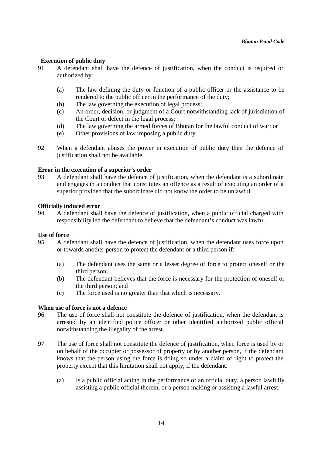#### **Execution of public duty**

- 91. A defendant shall have the defence of justification, when the conduct is required or authorized by:
	- (a) The law defining the duty or function of a public officer or the assistance to be rendered to the public officer in the performance of the duty;
	- (b) The law governing the execution of legal process;
	- (c) An order, decision, or judgment of a Court notwithstanding lack of jurisdiction of the Court or defect in the legal process;
	- (d) The law governing the armed forces of Bhutan for the lawful conduct of war; or
	- (e) Other provisions of law imposing a public duty.
- 92. When a defendant abuses the power in execution of public duty then the defence of justification shall not be available.

#### **Error in the execution of a superior's order**

93. A defendant shall have the defence of justification, when the defendant is a subordinate and engages in a conduct that constitutes an offence as a result of executing an order of a superior provided that the subordinate did not know the order to be unlawful.

#### **Officially induced error**

94. A defendant shall have the defence of justification, when a public official charged with responsibility led the defendant to believe that the defendant's conduct was lawful.

#### **Use of force**

- 95. A defendant shall have the defence of justification, when the defendant uses force upon or towards another person to protect the defendant or a third person if:
	- (a) The defendant uses the same or a lesser degree of force to protect oneself or the third person;
	- (b) The defendant believes that the force is necessary for the protection of oneself or the third person; and
	- (c) The force used is no greater than that which is necessary.

#### **When use of force is not a defence**

- 96. The use of force shall not constitute the defence of justification, when the defendant is arrested by an identified police officer or other identified authorized public official notwithstanding the illegality of the arrest.
- 97. The use of force shall not constitute the defence of justification, when force is used by or on behalf of the occupier or possessor of property or by another person, if the defendant knows that the person using the force is doing so under a claim of right to protect the property except that this limitation shall not apply, if the defendant:
	- (a) Is a public official acting in the performance of an official duty, a person lawfully assisting a public official therein, or a person making or assisting a lawful arrest;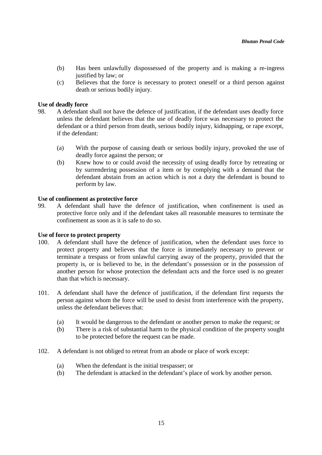- (b) Has been unlawfully dispossessed of the property and is making a re-ingress justified by law; or
- (c) Believes that the force is necessary to protect oneself or a third person against death or serious bodily injury.

#### **Use of deadly force**

- 98. A defendant shall not have the defence of justification, if the defendant uses deadly force unless the defendant believes that the use of deadly force was necessary to protect the defendant or a third person from death, serious bodily injury, kidnapping, or rape except, if the defendant:
	- (a) With the purpose of causing death or serious bodily injury, provoked the use of deadly force against the person; or
	- (b) Knew how to or could avoid the necessity of using deadly force by retreating or by surrendering possession of a item or by complying with a demand that the defendant abstain from an action which is not a duty the defendant is bound to perform by law.

#### **Use of confinement as protective force**

99. A defendant shall have the defence of justification, when confinement is used as protective force only and if the defendant takes all reasonable measures to terminate the confinement as soon as it is safe to do so.

#### **Use of force to protect property**

- 100. A defendant shall have the defence of justification, when the defendant uses force to protect property and believes that the force is immediately necessary to prevent or terminate a trespass or from unlawful carrying away of the property, provided that the property is, or is believed to be, in the defendant's possession or in the possession of another person for whose protection the defendant acts and the force used is no greater than that which is necessary.
- 101. A defendant shall have the defence of justification, if the defendant first requests the person against whom the force will be used to desist from interference with the property, unless the defendant believes that:
	- (a) It would be dangerous to the defendant or another person to make the request; or
	- (b) There is a risk of substantial harm to the physical condition of the property sought to be protected before the request can be made.
- 102. A defendant is not obliged to retreat from an abode or place of work except:
	- (a) When the defendant is the initial trespasser; or
	- (b) The defendant is attacked in the defendant's place of work by another person.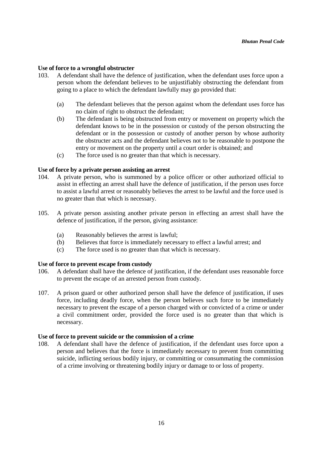#### **Use of force to a wrongful obstructer**

- 103. A defendant shall have the defence of justification, when the defendant uses force upon a person whom the defendant believes to be unjustifiably obstructing the defendant from going to a place to which the defendant lawfully may go provided that:
	- (a) The defendant believes that the person against whom the defendant uses force has no claim of right to obstruct the defendant;
	- (b) The defendant is being obstructed from entry or movement on property which the defendant knows to be in the possession or custody of the person obstructing the defendant or in the possession or custody of another person by whose authority the obstructer acts and the defendant believes not to be reasonable to postpone the entry or movement on the property until a court order is obtained; and
	- (c) The force used is no greater than that which is necessary.

#### **Use of force by a private person assisting an arrest**

- 104. A private person, who is summoned by a police officer or other authorized official to assist in effecting an arrest shall have the defence of justification, if the person uses force to assist a lawful arrest or reasonably believes the arrest to be lawful and the force used is no greater than that which is necessary.
- 105. A private person assisting another private person in effecting an arrest shall have the defence of justification, if the person, giving assistance:
	- (a) Reasonably believes the arrest is lawful;
	- (b) Believes that force is immediately necessary to effect a lawful arrest; and
	- (c) The force used is no greater than that which is necessary.

#### **Use of force to prevent escape from custody**

- 106. A defendant shall have the defence of justification, if the defendant uses reasonable force to prevent the escape of an arrested person from custody.
- 107. A prison guard or other authorized person shall have the defence of justification, if uses force, including deadly force, when the person believes such force to be immediately necessary to prevent the escape of a person charged with or convicted of a crime or under a civil commitment order, provided the force used is no greater than that which is necessary.

#### **Use of force to prevent suicide or the commission of a crime**

108. A defendant shall have the defence of justification, if the defendant uses force upon a person and believes that the force is immediately necessary to prevent from committing suicide, inflicting serious bodily injury, or committing or consummating the commission of a crime involving or threatening bodily injury or damage to or loss of property.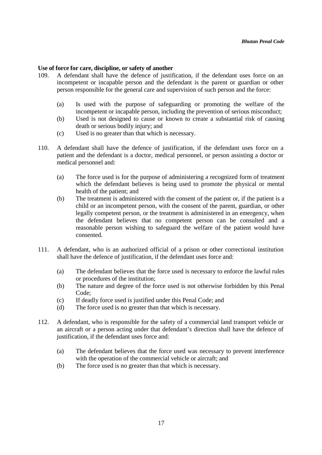#### **Use of force for care, discipline, or safety of another**

- 109. A defendant shall have the defence of justification, if the defendant uses force on an incompetent or incapable person and the defendant is the parent or guardian or other person responsible for the general care and supervision of such person and the force:
	- (a) Is used with the purpose of safeguarding or promoting the welfare of the incompetent or incapable person, including the prevention of serious misconduct;
	- (b) Used is not designed to cause or known to create a substantial risk of causing death or serious bodily injury; and
	- (c) Used is no greater than that which is necessary.
- 110. A defendant shall have the defence of justification, if the defendant uses force on a patient and the defendant is a doctor, medical personnel, or person assisting a doctor or medical personnel and:
	- (a) The force used is for the purpose of administering a recognized form of treatment which the defendant believes is being used to promote the physical or mental health of the patient; and
	- (b) The treatment is administered with the consent of the patient or, if the patient is a child or an incompetent person, with the consent of the parent, guardian, or other legally competent person, or the treatment is administered in an emergency, when the defendant believes that no competent person can be consulted and a reasonable person wishing to safeguard the welfare of the patient would have consented.
- 111. A defendant, who is an authorized official of a prison or other correctional institution shall have the defence of justification, if the defendant uses force and:
	- (a) The defendant believes that the force used is necessary to enforce the lawful rules or procedures of the institution;
	- (b) The nature and degree of the force used is not otherwise forbidden by this Penal Code;
	- (c) If deadly force used is justified under this Penal Code; and
	- (d) The force used is no greater than that which is necessary.
- 112. A defendant, who is responsible for the safety of a commercial land transport vehicle or an aircraft or a person acting under that defendant's direction shall have the defence of justification, if the defendant uses force and:
	- (a) The defendant believes that the force used was necessary to prevent interference with the operation of the commercial vehicle or aircraft; and
	- (b) The force used is no greater than that which is necessary.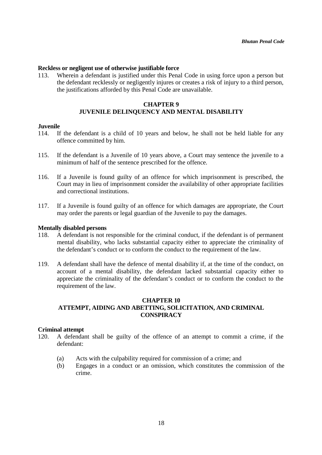#### **Reckless or negligent use of otherwise justifiable force**

113. Wherein a defendant is justified under this Penal Code in using force upon a person but the defendant recklessly or negligently injures or creates a risk of injury to a third person, the justifications afforded by this Penal Code are unavailable.

#### **CHAPTER 9 JUVENILE DELINQUENCY AND MENTAL DISABILITY**

#### **Juvenile**

- 114. If the defendant is a child of 10 years and below, he shall not be held liable for any offence committed by him.
- 115. If the defendant is a Juvenile of 10 years above, a Court may sentence the juvenile to a minimum of half of the sentence prescribed for the offence.
- 116. If a Juvenile is found guilty of an offence for which imprisonment is prescribed, the Court may in lieu of imprisonment consider the availability of other appropriate facilities and correctional institutions.
- 117. If a Juvenile is found guilty of an offence for which damages are appropriate, the Court may order the parents or legal guardian of the Juvenile to pay the damages.

#### **Mentally disabled persons**

- 118. A defendant is not responsible for the criminal conduct, if the defendant is of permanent mental disability, who lacks substantial capacity either to appreciate the criminality of the defendant's conduct or to conform the conduct to the requirement of the law.
- 119. A defendant shall have the defence of mental disability if, at the time of the conduct, on account of a mental disability, the defendant lacked substantial capacity either to appreciate the criminality of the defendant's conduct or to conform the conduct to the requirement of the law.

#### **CHAPTER 10 ATTEMPT, AIDING AND ABETTING, SOLICITATION, AND CRIMINAL CONSPIRACY**

#### **Criminal attempt**

- 120. A defendant shall be guilty of the offence of an attempt to commit a crime, if the defendant:
	- (a) Acts with the culpability required for commission of a crime; and
	- (b) Engages in a conduct or an omission, which constitutes the commission of the crime.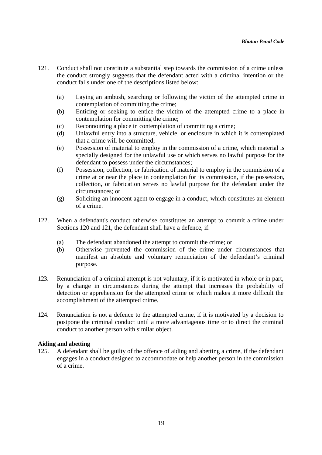- 121. Conduct shall not constitute a substantial step towards the commission of a crime unless the conduct strongly suggests that the defendant acted with a criminal intention or the conduct falls under one of the descriptions listed below:
	- (a) Laying an ambush, searching or following the victim of the attempted crime in contemplation of committing the crime;
	- (b) Enticing or seeking to entice the victim of the attempted crime to a place in contemplation for committing the crime;
	- (c) Reconnoitring a place in contemplation of committing a crime;
	- (d) Unlawful entry into a structure, vehicle, or enclosure in which it is contemplated that a crime will be committed;
	- (e) Possession of material to employ in the commission of a crime, which material is specially designed for the unlawful use or which serves no lawful purpose for the defendant to possess under the circumstances;
	- (f) Possession, collection, or fabrication of material to employ in the commission of a crime at or near the place in contemplation for its commission, if the possession, collection, or fabrication serves no lawful purpose for the defendant under the circumstances; or
	- (g) Soliciting an innocent agent to engage in a conduct, which constitutes an element of a crime.
- 122. When a defendant's conduct otherwise constitutes an attempt to commit a crime under Sections 120 and 121, the defendant shall have a defence, if:
	- (a) The defendant abandoned the attempt to commit the crime; or
	- (b) Otherwise prevented the commission of the crime under circumstances that manifest an absolute and voluntary renunciation of the defendant's criminal purpose.
- 123. Renunciation of a criminal attempt is not voluntary, if it is motivated in whole or in part, by a change in circumstances during the attempt that increases the probability of detection or apprehension for the attempted crime or which makes it more difficult the accomplishment of the attempted crime.
- 124. Renunciation is not a defence to the attempted crime, if it is motivated by a decision to postpone the criminal conduct until a more advantageous time or to direct the criminal conduct to another person with similar object.

#### **Aiding and abetting**

125. A defendant shall be guilty of the offence of aiding and abetting a crime, if the defendant engages in a conduct designed to accommodate or help another person in the commission of a crime.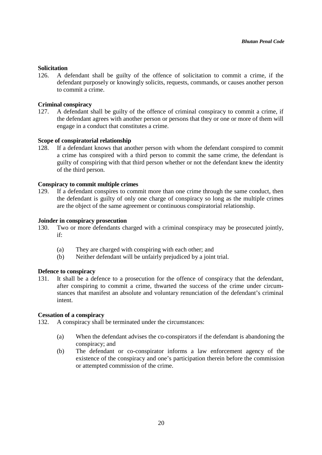#### **Solicitation**

126. A defendant shall be guilty of the offence of solicitation to commit a crime, if the defendant purposely or knowingly solicits, requests, commands, or causes another person to commit a crime.

#### **Criminal conspiracy**

127. A defendant shall be guilty of the offence of criminal conspiracy to commit a crime, if the defendant agrees with another person or persons that they or one or more of them will engage in a conduct that constitutes a crime.

#### **Scope of conspiratorial relationship**

128. If a defendant knows that another person with whom the defendant conspired to commit a crime has conspired with a third person to commit the same crime, the defendant is guilty of conspiring with that third person whether or not the defendant knew the identity of the third person.

#### **Conspiracy to commit multiple crimes**

129. If a defendant conspires to commit more than one crime through the same conduct, then the defendant is guilty of only one charge of conspiracy so long as the multiple crimes are the object of the same agreement or continuous conspiratorial relationship.

#### **Joinder in conspiracy prosecution**

- 130. Two or more defendants charged with a criminal conspiracy may be prosecuted jointly, if:
	- (a) They are charged with conspiring with each other; and
	- (b) Neither defendant will be unfairly prejudiced by a joint trial.

#### **Defence to conspiracy**

131. It shall be a defence to a prosecution for the offence of conspiracy that the defendant, after conspiring to commit a crime, thwarted the success of the crime under circumstances that manifest an absolute and voluntary renunciation of the defendant's criminal intent.

#### **Cessation of a conspiracy**

132. A conspiracy shall be terminated under the circumstances:

- (a) When the defendant advises the co-conspirators if the defendant is abandoning the conspiracy; and
- (b) The defendant or co-conspirator informs a law enforcement agency of the existence of the conspiracy and one's participation therein before the commission or attempted commission of the crime.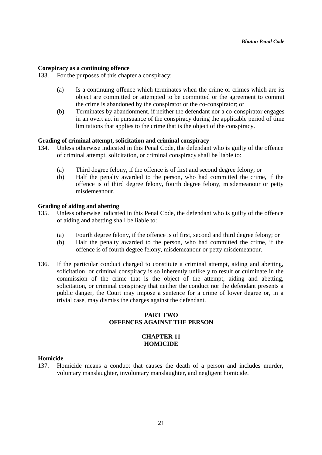#### **Conspiracy as a continuing offence**

133. For the purposes of this chapter a conspiracy:

- (a) Is a continuing offence which terminates when the crime or crimes which are its object are committed or attempted to be committed or the agreement to commit the crime is abandoned by the conspirator or the co-conspirator; or
- (b) Terminates by abandonment, if neither the defendant nor a co-conspirator engages in an overt act in pursuance of the conspiracy during the applicable period of time limitations that applies to the crime that is the object of the conspiracy.

#### **Grading of criminal attempt, solicitation and criminal conspiracy**

- 134. Unless otherwise indicated in this Penal Code, the defendant who is guilty of the offence of criminal attempt, solicitation, or criminal conspiracy shall be liable to:
	- (a) Third degree felony, if the offence is of first and second degree felony; or
	- (b) Half the penalty awarded to the person, who had committed the crime, if the offence is of third degree felony, fourth degree felony, misdemeanour or petty misdemeanour.

#### **Grading of aiding and abetting**

- 135. Unless otherwise indicated in this Penal Code, the defendant who is guilty of the offence of aiding and abetting shall be liable to:
	- (a) Fourth degree felony, if the offence is of first, second and third degree felony; or
	- (b) Half the penalty awarded to the person, who had committed the crime, if the offence is of fourth degree felony, misdemeanour or petty misdemeanour.
- 136. If the particular conduct charged to constitute a criminal attempt, aiding and abetting, solicitation, or criminal conspiracy is so inherently unlikely to result or culminate in the commission of the crime that is the object of the attempt, aiding and abetting, solicitation, or criminal conspiracy that neither the conduct nor the defendant presents a public danger, the Court may impose a sentence for a crime of lower degree or, in a trivial case, may dismiss the charges against the defendant.

#### **PART TWO OFFENCES AGAINST THE PERSON**

#### **CHAPTER 11 HOMICIDE**

#### **Homicide**

137. Homicide means a conduct that causes the death of a person and includes murder, voluntary manslaughter, involuntary manslaughter, and negligent homicide.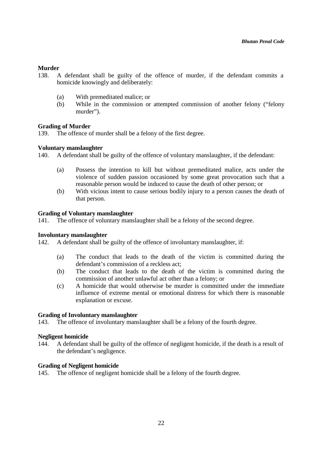#### **Murder**

- 138. A defendant shall be guilty of the offence of murder, if the defendant commits a homicide knowingly and deliberately:
	- (a) With premeditated malice; or
	- (b) While in the commission or attempted commission of another felony ("felony murder").

#### **Grading of Murder**

139. The offence of murder shall be a felony of the first degree.

#### **Voluntary manslaughter**

140. A defendant shall be guilty of the offence of voluntary manslaughter, if the defendant:

- (a) Possess the intention to kill but without premeditated malice, acts under the violence of sudden passion occasioned by some great provocation such that a reasonable person would be induced to cause the death of other person; or
- (b) With vicious intent to cause serious bodily injury to a person causes the death of that person.

#### **Grading of Voluntary manslaughter**

141. The offence of voluntary manslaughter shall be a felony of the second degree.

#### **Involuntary manslaughter**

142. A defendant shall be guilty of the offence of involuntary manslaughter, if:

- (a) The conduct that leads to the death of the victim is committed during the defendant's commission of a reckless act;
- (b) The conduct that leads to the death of the victim is committed during the commission of another unlawful act other than a felony; or
- (c) A homicide that would otherwise be murder is committed under the immediate influence of extreme mental or emotional distress for which there is reasonable explanation or excuse.

#### **Grading of Involuntary manslaughter**

143. The offence of involuntary manslaughter shall be a felony of the fourth degree.

#### **Negligent homicide**

144. A defendant shall be guilty of the offence of negligent homicide, if the death is a result of the defendant's negligence.

#### **Grading of Negligent homicide**

145. The offence of negligent homicide shall be a felony of the fourth degree.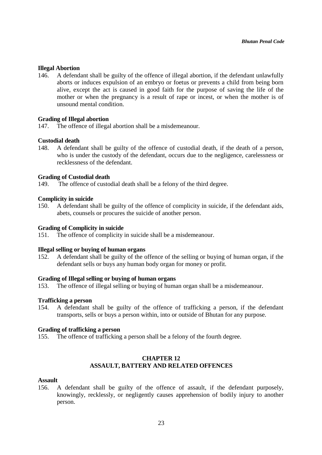#### **Illegal Abortion**

146. A defendant shall be guilty of the offence of illegal abortion, if the defendant unlawfully aborts or induces expulsion of an embryo or foetus or prevents a child from being born alive, except the act is caused in good faith for the purpose of saving the life of the mother or when the pregnancy is a result of rape or incest, or when the mother is of unsound mental condition.

#### **Grading of Illegal abortion**

147. The offence of illegal abortion shall be a misdemeanour.

#### **Custodial death**

148. A defendant shall be guilty of the offence of custodial death, if the death of a person, who is under the custody of the defendant, occurs due to the negligence, carelessness or recklessness of the defendant.

#### **Grading of Custodial death**

149. The offence of custodial death shall be a felony of the third degree.

#### **Complicity in suicide**

150. A defendant shall be guilty of the offence of complicity in suicide, if the defendant aids, abets, counsels or procures the suicide of another person.

#### **Grading of Complicity in suicide**

151. The offence of complicity in suicide shall be a misdemeanour.

#### **Illegal selling or buying of human organs**

152. A defendant shall be guilty of the offence of the selling or buying of human organ, if the defendant sells or buys any human body organ for money or profit.

#### **Grading of Illegal selling or buying of human organs**

153. The offence of illegal selling or buying of human organ shall be a misdemeanour.

#### **Trafficking a person**

154. A defendant shall be guilty of the offence of trafficking a person, if the defendant transports, sells or buys a person within, into or outside of Bhutan for any purpose.

#### **Grading of trafficking a person**

155. The offence of trafficking a person shall be a felony of the fourth degree.

#### **CHAPTER 12 ASSAULT, BATTERY AND RELATED OFFENCES**

#### **Assault**

156. A defendant shall be guilty of the offence of assault, if the defendant purposely, knowingly, recklessly, or negligently causes apprehension of bodily injury to another person.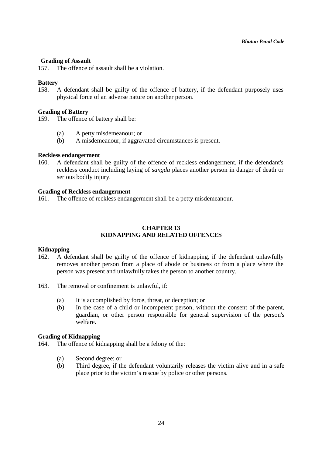### **Grading of Assault**

157. The offence of assault shall be a violation.

### **Battery**

158. A defendant shall be guilty of the offence of battery, if the defendant purposely uses physical force of an adverse nature on another person.

### **Grading of Battery**

159. The offence of battery shall be:

- (a) A petty misdemeanour; or
- (b) A misdemeanour, if aggravated circumstances is present.

### **Reckless endangerment**

160. A defendant shall be guilty of the offence of reckless endangerment, if the defendant's reckless conduct including laying of *sangda* places another person in danger of death or serious bodily injury.

### **Grading of Reckless endangerment**

161. The offence of reckless endangerment shall be a petty misdemeanour.

# **CHAPTER 13 KIDNAPPING AND RELATED OFFENCES**

### **Kidnapping**

- 162. A defendant shall be guilty of the offence of kidnapping, if the defendant unlawfully removes another person from a place of abode or business or from a place where the person was present and unlawfully takes the person to another country.
- 163. The removal or confinement is unlawful, if:
	- (a) It is accomplished by force, threat, or deception; or
	- (b) In the case of a child or incompetent person, without the consent of the parent, guardian, or other person responsible for general supervision of the person's welfare.

### **Grading of Kidnapping**

164. The offence of kidnapping shall be a felony of the:

- (a) Second degree; or
- (b) Third degree, if the defendant voluntarily releases the victim alive and in a safe place prior to the victim's rescue by police or other persons.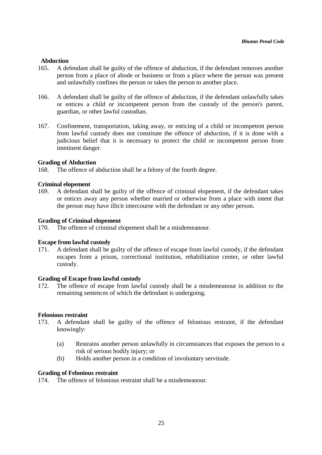# **Abduction**

- 165. A defendant shall be guilty of the offence of abduction, if the defendant removes another person from a place of abode or business or from a place where the person was present and unlawfully confines the person or takes the person to another place.
- 166. A defendant shall be guilty of the offence of abduction, if the defendant unlawfully takes or entices a child or incompetent person from the custody of the person's parent, guardian, or other lawful custodian.
- 167. Confinement, transportation, taking away, or enticing of a child or incompetent person from lawful custody does not constitute the offence of abduction, if it is done with a judicious belief that it is necessary to protect the child or incompetent person from imminent danger.

### **Grading of Abduction**

168. The offence of abduction shall be a felony of the fourth degree.

#### **Criminal elopement**

169. A defendant shall be guilty of the offence of criminal elopement, if the defendant takes or entices away any person whether married or otherwise from a place with intent that the person may have illicit intercourse with the defendant or any other person.

#### **Grading of Criminal elopement**

170. The offence of criminal elopement shall be a misdemeanour.

### **Escape from lawful custody**

171. A defendant shall be guilty of the offence of escape from lawful custody, if the defendant escapes from a prison, correctional institution, rehabilitation center, or other lawful custody.

#### **Grading of Escape from lawful custody**

172. The offence of escape from lawful custody shall be a misdemeanour in addition to the remaining sentences of which the defendant is undergoing.

#### **Felonious restraint**

- 173. A defendant shall be guilty of the offence of felonious restraint, if the defendant knowingly:
	- (a) Restrains another person unlawfully in circumstances that exposes the person to a risk of serious bodily injury; or
	- (b) Holds another person in a condition of involuntary servitude.

### **Grading of Felonious restraint**

174. The offence of felonious restraint shall be a misdemeanour.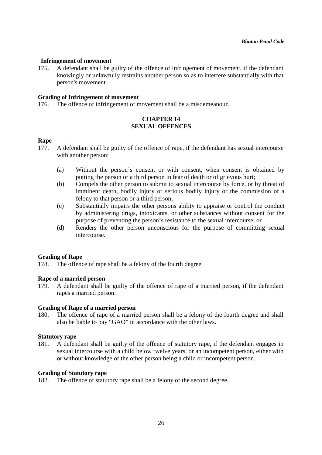# **Infringement of movement**

175. A defendant shall be guilty of the offence of infringement of movement, if the defendant knowingly or unlawfully restrains another person so as to interfere substantially with that person's movement.

### **Grading of Infringement of movement**

176. The offence of infringement of movement shall be a misdemeanour.

# **CHAPTER 14 SEXUAL OFFENCES**

# **Rape**

- 177. A defendant shall be guilty of the offence of rape, if the defendant has sexual intercourse with another person:
	- (a) Without the person's consent or with consent, when consent is obtained by putting the person or a third person in fear of death or of grievous hurt;
	- (b) Compels the other person to submit to sexual intercourse by force, or by threat of imminent death, bodily injury or serious bodily injury or the commission of a felony to that person or a third person;
	- (c) Substantially impairs the other persons ability to appraise or control the conduct by administering drugs, intoxicants, or other substances without consent for the purpose of preventing the person's resistance to the sexual intercourse, or
	- (d) Renders the other person unconscious for the purpose of committing sexual intercourse.

### **Grading of Rape**

178. The offence of rape shall be a felony of the fourth degree.

### **Rape of a married person**

179. A defendant shall be guilty of the offence of rape of a married person, if the defendant rapes a married person.

### **Grading of Rape of a married person**

180. The offence of rape of a married person shall be a felony of the fourth degree and shall also be liable to pay "GAO" in accordance with the other laws.

### **Statutory rape**

181. A defendant shall be guilty of the offence of statutory rape, if the defendant engages in sexual intercourse with a child below twelve years, or an incompetent person, either with or without knowledge of the other person being a child or incompetent person.

### **Grading of Statutory rape**

182. The offence of statutory rape shall be a felony of the second degree.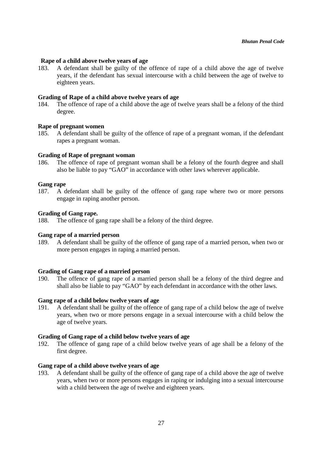### **Rape of a child above twelve years of age**

183. A defendant shall be guilty of the offence of rape of a child above the age of twelve years, if the defendant has sexual intercourse with a child between the age of twelve to eighteen years.

### **Grading of Rape of a child above twelve years of age**

184. The offence of rape of a child above the age of twelve years shall be a felony of the third degree.

### **Rape of pregnant women**

185. A defendant shall be guilty of the offence of rape of a pregnant woman, if the defendant rapes a pregnant woman.

#### **Grading of Rape of pregnant woman**

186. The offence of rape of pregnant woman shall be a felony of the fourth degree and shall also be liable to pay "GAO" in accordance with other laws wherever applicable.

#### **Gang rape**

187. A defendant shall be guilty of the offence of gang rape where two or more persons engage in raping another person.

#### **Grading of Gang rape.**

188. The offence of gang rape shall be a felony of the third degree.

#### **Gang rape of a married person**

189. A defendant shall be guilty of the offence of gang rape of a married person, when two or more person engages in raping a married person.

### **Grading of Gang rape of a married person**

190. The offence of gang rape of a married person shall be a felony of the third degree and shall also be liable to pay "GAO" by each defendant in accordance with the other laws.

#### **Gang rape of a child below twelve years of age**

191. A defendant shall be guilty of the offence of gang rape of a child below the age of twelve years, when two or more persons engage in a sexual intercourse with a child below the age of twelve years.

### **Grading of Gang rape of a child below twelve years of age**

192. The offence of gang rape of a child below twelve years of age shall be a felony of the first degree.

# **Gang rape of a child above twelve years of age**

193. A defendant shall be guilty of the offence of gang rape of a child above the age of twelve years, when two or more persons engages in raping or indulging into a sexual intercourse with a child between the age of twelve and eighteen years.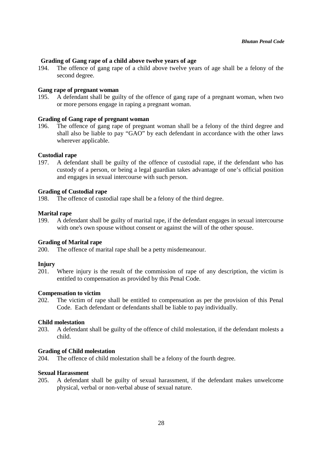# **Grading of Gang rape of a child above twelve years of age**

194. The offence of gang rape of a child above twelve years of age shall be a felony of the second degree.

#### **Gang rape of pregnant woman**

195. A defendant shall be guilty of the offence of gang rape of a pregnant woman, when two or more persons engage in raping a pregnant woman.

### **Grading of Gang rape of pregnant woman**

196. The offence of gang rape of pregnant woman shall be a felony of the third degree and shall also be liable to pay "GAO" by each defendant in accordance with the other laws wherever applicable.

#### **Custodial rape**

197. A defendant shall be guilty of the offence of custodial rape, if the defendant who has custody of a person, or being a legal guardian takes advantage of one's official position and engages in sexual intercourse with such person.

### **Grading of Custodial rape**

198. The offence of custodial rape shall be a felony of the third degree.

#### **Marital rape**

199. A defendant shall be guilty of marital rape, if the defendant engages in sexual intercourse with one's own spouse without consent or against the will of the other spouse.

#### **Grading of Marital rape**

200. The offence of marital rape shall be a petty misdemeanour.

#### **Injury**

201. Where injury is the result of the commission of rape of any description, the victim is entitled to compensation as provided by this Penal Code.

#### **Compensation to victim**

202. The victim of rape shall be entitled to compensation as per the provision of this Penal Code. Each defendant or defendants shall be liable to pay individually.

### **Child molestation**

203. A defendant shall be guilty of the offence of child molestation, if the defendant molests a child.

#### **Grading of Child molestation**

204. The offence of child molestation shall be a felony of the fourth degree.

#### **Sexual Harassment**

205. A defendant shall be guilty of sexual harassment, if the defendant makes unwelcome physical, verbal or non-verbal abuse of sexual nature.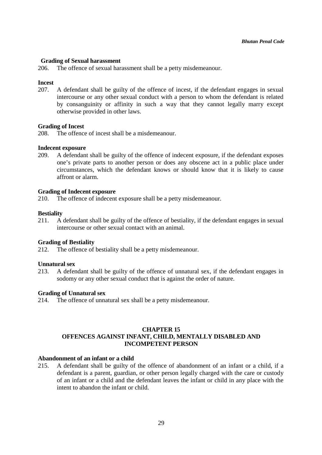### **Grading of Sexual harassment**

206. The offence of sexual harassment shall be a petty misdemeanour.

### **Incest**

207. A defendant shall be guilty of the offence of incest, if the defendant engages in sexual intercourse or any other sexual conduct with a person to whom the defendant is related by consanguinity or affinity in such a way that they cannot legally marry except otherwise provided in other laws.

### **Grading of Incest**

208. The offence of incest shall be a misdemeanour.

### **Indecent exposure**

209. A defendant shall be guilty of the offence of indecent exposure, if the defendant exposes one's private parts to another person or does any obscene act in a public place under circumstances, which the defendant knows or should know that it is likely to cause affront or alarm.

# **Grading of Indecent exposure**

210. The offence of indecent exposure shall be a petty misdemeanour.

# **Bestiality**

211. A defendant shall be guilty of the offence of bestiality, if the defendant engages in sexual intercourse or other sexual contact with an animal.

### **Grading of Bestiality**

212. The offence of bestiality shall be a petty misdemeanour.

### **Unnatural sex**

213. A defendant shall be guilty of the offence of unnatural sex, if the defendant engages in sodomy or any other sexual conduct that is against the order of nature.

### **Grading of Unnatural sex**

214. The offence of unnatural sex shall be a petty misdemeanour.

# **CHAPTER 15 OFFENCES AGAINST INFANT, CHILD, MENTALLY DISABLED AND INCOMPETENT PERSON**

# **Abandonment of an infant or a child**

215. A defendant shall be guilty of the offence of abandonment of an infant or a child, if a defendant is a parent, guardian, or other person legally charged with the care or custody of an infant or a child and the defendant leaves the infant or child in any place with the intent to abandon the infant or child.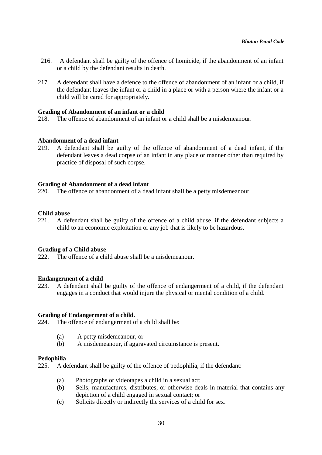- 216. A defendant shall be guilty of the offence of homicide, if the abandonment of an infant or a child by the defendant results in death.
- 217. A defendant shall have a defence to the offence of abandonment of an infant or a child, if the defendant leaves the infant or a child in a place or with a person where the infant or a child will be cared for appropriately.

#### **Grading of Abandonment of an infant or a child**

218. The offence of abandonment of an infant or a child shall be a misdemeanour.

#### **Abandonment of a dead infant**

219. A defendant shall be guilty of the offence of abandonment of a dead infant, if the defendant leaves a dead corpse of an infant in any place or manner other than required by practice of disposal of such corpse.

#### **Grading of Abandonment of a dead infant**

220. The offence of abandonment of a dead infant shall be a petty misdemeanour.

#### **Child abuse**

221. A defendant shall be guilty of the offence of a child abuse, if the defendant subjects a child to an economic exploitation or any job that is likely to be hazardous.

#### **Grading of a Child abuse**

222. The offence of a child abuse shall be a misdemeanour.

#### **Endangerment of a child**

223. A defendant shall be guilty of the offence of endangerment of a child, if the defendant engages in a conduct that would injure the physical or mental condition of a child.

#### **Grading of Endangerment of a child.**

224. The offence of endangerment of a child shall be:

- (a) A petty misdemeanour, or
- (b) A misdemeanour, if aggravated circumstance is present.

#### **Pedophilia**

225. A defendant shall be guilty of the offence of pedophilia, if the defendant:

- (a) Photographs or videotapes a child in a sexual act;
- (b) Sells, manufactures, distributes, or otherwise deals in material that contains any depiction of a child engaged in sexual contact; or
- (c) Solicits directly or indirectly the services of a child for sex.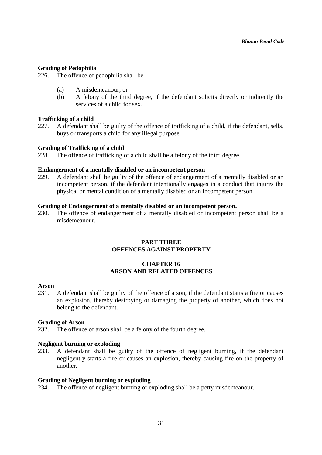### **Grading of Pedophilia**

226. The offence of pedophilia shall be

- (a) A misdemeanour; or
- (b) A felony of the third degree, if the defendant solicits directly or indirectly the services of a child for sex.

# **Trafficking of a child**

227. A defendant shall be guilty of the offence of trafficking of a child, if the defendant, sells, buys or transports a child for any illegal purpose.

# **Grading of Trafficking of a child**

228. The offence of trafficking of a child shall be a felony of the third degree.

### **Endangerment of a mentally disabled or an incompetent person**

229. A defendant shall be guilty of the offence of endangerment of a mentally disabled or an incompetent person, if the defendant intentionally engages in a conduct that injures the physical or mental condition of a mentally disabled or an incompetent person.

### **Grading of Endangerment of a mentally disabled or an incompetent person.**

230. The offence of endangerment of a mentally disabled or incompetent person shall be a misdemeanour.

# **PART THREE OFFENCES AGAINST PROPERTY**

# **CHAPTER 16 ARSON AND RELATED OFFENCES**

#### **Arson**

231. A defendant shall be guilty of the offence of arson, if the defendant starts a fire or causes an explosion, thereby destroying or damaging the property of another, which does not belong to the defendant.

### **Grading of Arson**

232. The offence of arson shall be a felony of the fourth degree.

### **Negligent burning or exploding**

233. A defendant shall be guilty of the offence of negligent burning, if the defendant negligently starts a fire or causes an explosion, thereby causing fire on the property of another.

### **Grading of Negligent burning or exploding**

234. The offence of negligent burning or exploding shall be a petty misdemeanour.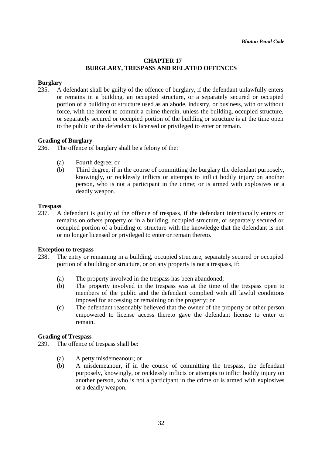# **CHAPTER 17 BURGLARY, TRESPASS AND RELATED OFFENCES**

# **Burglary**

235. A defendant shall be guilty of the offence of burglary, if the defendant unlawfully enters or remains in a building, an occupied structure, or a separately secured or occupied portion of a building or structure used as an abode, industry, or business, with or without force, with the intent to commit a crime therein, unless the building, occupied structure, or separately secured or occupied portion of the building or structure is at the time open to the public or the defendant is licensed or privileged to enter or remain.

# **Grading of Burglary**

- 236. The offence of burglary shall be a felony of the:
	- (a) Fourth degree; or
	- (b) Third degree, if in the course of committing the burglary the defendant purposely, knowingly, or recklessly inflicts or attempts to inflict bodily injury on another person, who is not a participant in the crime; or is armed with explosives or a deadly weapon.

### **Trespass**

237. A defendant is guilty of the offence of trespass, if the defendant intentionally enters or remains on others property or in a building, occupied structure, or separately secured or occupied portion of a building or structure with the knowledge that the defendant is not or no longer licensed or privileged to enter or remain thereto.

### **Exception to trespass**

- 238. The entry or remaining in a building, occupied structure, separately secured or occupied portion of a building or structure, or on any property is not a trespass, if:
	- (a) The property involved in the trespass has been abandoned;
	- (b) The property involved in the trespass was at the time of the trespass open to members of the public and the defendant complied with all lawful conditions imposed for accessing or remaining on the property; or
	- (c) The defendant reasonably believed that the owner of the property or other person empowered to license access thereto gave the defendant license to enter or remain.

### **Grading of Trespass**

239. The offence of trespass shall be:

- (a) A petty misdemeanour; or
- (b) A misdemeanour, if in the course of committing the trespass, the defendant purposely, knowingly, or recklessly inflicts or attempts to inflict bodily injury on another person, who is not a participant in the crime or is armed with explosives or a deadly weapon.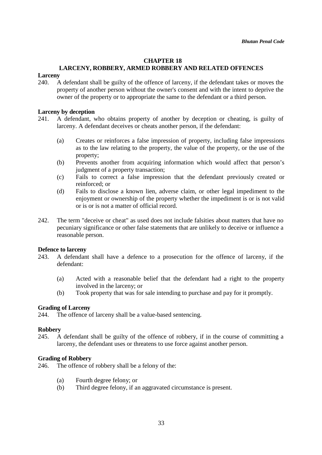### **CHAPTER 18**

# **LARCENY, ROBBERY, ARMED ROBBERY AND RELATED OFFENCES**

# **Larceny**

240. A defendant shall be guilty of the offence of larceny, if the defendant takes or moves the property of another person without the owner's consent and with the intent to deprive the owner of the property or to appropriate the same to the defendant or a third person.

#### **Larceny by deception**

- 241. A defendant, who obtains property of another by deception or cheating, is guilty of larceny. A defendant deceives or cheats another person, if the defendant:
	- (a) Creates or reinforces a false impression of property, including false impressions as to the law relating to the property, the value of the property, or the use of the property;
	- (b) Prevents another from acquiring information which would affect that person's judgment of a property transaction;
	- (c) Fails to correct a false impression that the defendant previously created or reinforced; or
	- (d) Fails to disclose a known lien, adverse claim, or other legal impediment to the enjoyment or ownership of the property whether the impediment is or is not valid or is or is not a matter of official record.
- 242. The term "deceive or cheat" as used does not include falsities about matters that have no pecuniary significance or other false statements that are unlikely to deceive or influence a reasonable person.

### **Defence to larceny**

- 243. A defendant shall have a defence to a prosecution for the offence of larceny, if the defendant:
	- (a) Acted with a reasonable belief that the defendant had a right to the property involved in the larceny; or
	- (b) Took property that was for sale intending to purchase and pay for it promptly.

### **Grading of Larceny**

244. The offence of larceny shall be a value-based sentencing.

#### **Robbery**

245. A defendant shall be guilty of the offence of robbery, if in the course of committing a larceny, the defendant uses or threatens to use force against another person.

#### **Grading of Robbery**

246. The offence of robbery shall be a felony of the:

- (a) Fourth degree felony; or
- (b) Third degree felony, if an aggravated circumstance is present.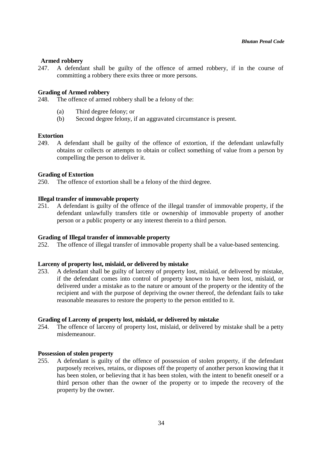# **Armed robbery**

247. A defendant shall be guilty of the offence of armed robbery, if in the course of committing a robbery there exits three or more persons.

### **Grading of Armed robbery**

248. The offence of armed robbery shall be a felony of the:

- (a) Third degree felony; or
- (b) Second degree felony, if an aggravated circumstance is present.

### **Extortion**

249. A defendant shall be guilty of the offence of extortion, if the defendant unlawfully obtains or collects or attempts to obtain or collect something of value from a person by compelling the person to deliver it.

### **Grading of Extortion**

250. The offence of extortion shall be a felony of the third degree.

#### **Illegal transfer of immovable property**

251. A defendant is guilty of the offence of the illegal transfer of immovable property, if the defendant unlawfully transfers title or ownership of immovable property of another person or a public property or any interest therein to a third person.

# **Grading of Illegal transfer of immovable property**

252. The offence of illegal transfer of immovable property shall be a value-based sentencing.

### **Larceny of property lost, mislaid, or delivered by mistake**

253. A defendant shall be guilty of larceny of property lost, mislaid, or delivered by mistake, if the defendant comes into control of property known to have been lost, mislaid, or delivered under a mistake as to the nature or amount of the property or the identity of the recipient and with the purpose of depriving the owner thereof, the defendant fails to take reasonable measures to restore the property to the person entitled to it.

#### **Grading of Larceny of property lost, mislaid, or delivered by mistake**

254. The offence of larceny of property lost, mislaid, or delivered by mistake shall be a petty misdemeanour.

### **Possession of stolen property**

255. A defendant is guilty of the offence of possession of stolen property, if the defendant purposely receives, retains, or disposes off the property of another person knowing that it has been stolen, or believing that it has been stolen, with the intent to benefit oneself or a third person other than the owner of the property or to impede the recovery of the property by the owner.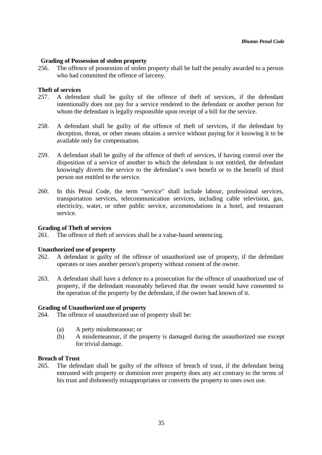# **Grading of Possession of stolen property**

256. The offence of possession of stolen property shall be half the penalty awarded to a person who had committed the offence of larceny.

### **Theft of services**

- 257. A defendant shall be guilty of the offence of theft of services, if the defendant intentionally does not pay for a service rendered to the defendant or another person for whom the defendant is legally responsible upon receipt of a bill for the service.
- 258. A defendant shall be guilty of the offence of theft of services, if the defendant by deception, threat, or other means obtains a service without paying for it knowing it to be available only for compensation.
- 259. A defendant shall be guilty of the offence of theft of services, if having control over the disposition of a service of another to which the defendant is not entitled, the defendant knowingly diverts the service to the defendant's own benefit or to the benefit of third person not entitled to the service.
- 260. In this Penal Code, the term "service" shall include labour, professional services, transportation services, telecommunication services, including cable television, gas, electricity, water, or other public service, accommodations in a hotel, and restaurant service.

### **Grading of Theft of services**

261. The offence of theft of services shall be a value-based sentencing.

### **Unauthorized use of property**

- 262. A defendant is guilty of the offence of unauthorized use of property, if the defendant operates or uses another person's property without consent of the owner.
- 263. A defendant shall have a defence to a prosecution for the offence of unauthorized use of property, if the defendant reasonably believed that the owner would have consented to the operation of the property by the defendant, if the owner had known of it.

#### **Grading of Unauthorized use of property**

264. The offence of unauthorized use of property shall be:

- (a) A petty misdemeanour; or
- (b) A misdemeanour, if the property is damaged during the unauthorized use except for trivial damage.

### **Breach of Trust**

265. The defendant shall be guilty of the offence of breach of trust, if the defendant being entrusted with property or dominion over property does any act contrary to the terms of his trust and dishonestly misappropriates or converts the property to ones own use.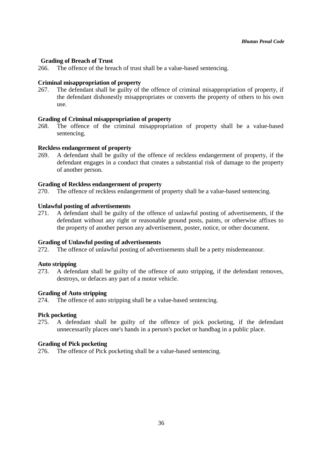### **Grading of Breach of Trust**

266. The offence of the breach of trust shall be a value-based sentencing.

### **Criminal misappropriation of property**

267. The defendant shall be guilty of the offence of criminal misappropriation of property, if the defendant dishonestly misappropriates or converts the property of others to his own use.

### **Grading of Criminal misappropriation of property**

268. The offence of the criminal misappropriation of property shall be a value-based sentencing.

# **Reckless endangerment of property**

269. A defendant shall be guilty of the offence of reckless endangerment of property, if the defendant engages in a conduct that creates a substantial risk of damage to the property of another person.

### **Grading of Reckless endangerment of property**

270. The offence of reckless endangerment of property shall be a value-based sentencing.

# **Unlawful posting of advertisements**

271. A defendant shall be guilty of the offence of unlawful posting of advertisements, if the defendant without any right or reasonable ground posts, paints, or otherwise affixes to the property of another person any advertisement, poster, notice, or other document.

### **Grading of Unlawful posting of advertisements**

272. The offence of unlawful posting of advertisements shall be a petty misdemeanour.

### **Auto stripping**

273. A defendant shall be guilty of the offence of auto stripping, if the defendant removes, destroys, or defaces any part of a motor vehicle.

### **Grading of Auto stripping**

274. The offence of auto stripping shall be a value-based sentencing.

### **Pick pocketing**

275. A defendant shall be guilty of the offence of pick pocketing, if the defendant unnecessarily places one's hands in a person's pocket or handbag in a public place.

### **Grading of Pick pocketing**

276. The offence of Pick pocketing shall be a value-based sentencing.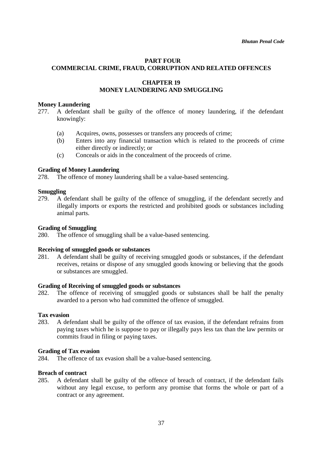# **PART FOUR COMMERCIAL CRIME, FRAUD, CORRUPTION AND RELATED OFFENCES**

# **CHAPTER 19 MONEY LAUNDERING AND SMUGGLING**

### **Money Laundering**

- 277. A defendant shall be guilty of the offence of money laundering, if the defendant knowingly:
	- (a) Acquires, owns, possesses or transfers any proceeds of crime;
	- (b) Enters into any financial transaction which is related to the proceeds of crime either directly or indirectly; or
	- (c) Conceals or aids in the concealment of the proceeds of crime.

# **Grading of Money Laundering**

278. The offence of money laundering shall be a value-based sentencing.

### **Smuggling**

279. A defendant shall be guilty of the offence of smuggling, if the defendant secretly and illegally imports or exports the restricted and prohibited goods or substances including animal parts.

### **Grading of Smuggling**

280. The offence of smuggling shall be a value-based sentencing.

### **Receiving of smuggled goods or substances**

281. A defendant shall be guilty of receiving smuggled goods or substances, if the defendant receives, retains or dispose of any smuggled goods knowing or believing that the goods or substances are smuggled.

### **Grading of Receiving of smuggled goods or substances**

282. The offence of receiving of smuggled goods or substances shall be half the penalty awarded to a person who had committed the offence of smuggled.

### **Tax evasion**

283. A defendant shall be guilty of the offence of tax evasion, if the defendant refrains from paying taxes which he is suppose to pay or illegally pays less tax than the law permits or commits fraud in filing or paying taxes.

### **Grading of Tax evasion**

284. The offence of tax evasion shall be a value-based sentencing.

### **Breach of contract**

285. A defendant shall be guilty of the offence of breach of contract, if the defendant fails without any legal excuse, to perform any promise that forms the whole or part of a contract or any agreement.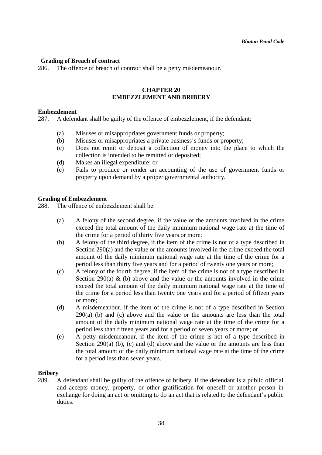# **Grading of Breach of contract**

286. The offence of breach of contract shall be a petty misdemeanour.

# **CHAPTER 20 EMBEZZLEMENT AND BRIBERY**

#### **Embezzlement**

287. A defendant shall be guilty of the offence of embezzlement, if the defendant:

- (a) Misuses or misappropriates government funds or property;
- (b) Misuses or misappropriates a private business's funds or property;
- (c) Does not remit or deposit a collection of money into the place to which the collection is intended to be remitted or deposited;
- (d) Makes an illegal expenditure; or
- (e) Fails to produce or render an accounting of the use of government funds or property upon demand by a proper governmental authority.

#### **Grading of Embezzlement**

288. The offence of embezzlement shall be:

- (a) A felony of the second degree, if the value or the amounts involved in the crime exceed the total amount of the daily minimum national wage rate at the time of the crime for a period of thirty five years or more;
- (b) A felony of the third degree, if the item of the crime is not of a type described in Section 290(a) and the value or the amounts involved in the crime exceed the total amount of the daily minimum national wage rate at the time of the crime for a period less than thirty five years and for a period of twenty one years or more;
- (c) A felony of the fourth degree, if the item of the crime is not of a type described in Section 290(a)  $\&$  (b) above and the value or the amounts involved in the crime exceed the total amount of the daily minimum national wage rate at the time of the crime for a period less than twenty one years and for a period of fifteen years or more;
- (d) A misdemeanour, if the item of the crime is not of a type described in Section 290(a) (b) and (c) above and the value or the amounts are less than the total amount of the daily minimum national wage rate at the time of the crime for a period less than fifteen years and for a period of seven years or more; or
- (e) A petty misdemeanour, if the item of the crime is not of a type described in Section 290(a) (b), (c) and (d) above and the value or the amounts are less than the total amount of the daily minimum national wage rate at the time of the crime for a period less than seven years.

### **Bribery**

289. A defendant shall be guilty of the offence of bribery, if the defendant is a public official and accepts money, property, or other gratification for oneself or another person in exchange for doing an act or omitting to do an act that is related to the defendant's public duties.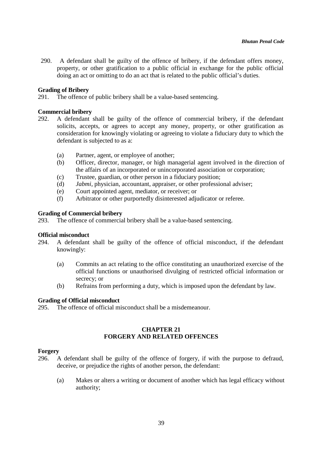290. A defendant shall be guilty of the offence of bribery, if the defendant offers money, property, or other gratification to a public official in exchange for the public official doing an act or omitting to do an act that is related to the public official's duties.

### **Grading of Bribery**

291. The offence of public bribery shall be a value-based sentencing.

### **Commercial bribery**

- 292. A defendant shall be guilty of the offence of commercial bribery, if the defendant solicits, accepts, or agrees to accept any money, property, or other gratification as consideration for knowingly violating or agreeing to violate a fiduciary duty to which the defendant is subjected to as a:
	- (a) Partner, agent, or employee of another;
	- (b) Officer, director, manager, or high managerial agent involved in the direction of the affairs of an incorporated or unincorporated association or corporation;
	- (c) Trustee, guardian, or other person in a fiduciary position;
	- (d) *Jabmi*, physician, accountant, appraiser, or other professional adviser;
	- (e) Court appointed agent, mediator, or receiver; or
	- (f) Arbitrator or other purportedly disinterested adjudicator or referee.

### **Grading of Commercial bribery**

293. The offence of commercial bribery shall be a value-based sentencing.

### **Official misconduct**

- 294. A defendant shall be guilty of the offence of official misconduct, if the defendant knowingly:
	- (a) Commits an act relating to the office constituting an unauthorized exercise of the official functions or unauthorised divulging of restricted official information or secrecy; or
	- (b) Refrains from performing a duty, which is imposed upon the defendant by law.

### **Grading of Official misconduct**

295. The offence of official misconduct shall be a misdemeanour.

# **CHAPTER 21 FORGERY AND RELATED OFFENCES**

### **Forgery**

- 296. A defendant shall be guilty of the offence of forgery, if with the purpose to defraud, deceive, or prejudice the rights of another person, the defendant:
	- (a) Makes or alters a writing or document of another which has legal efficacy without authority;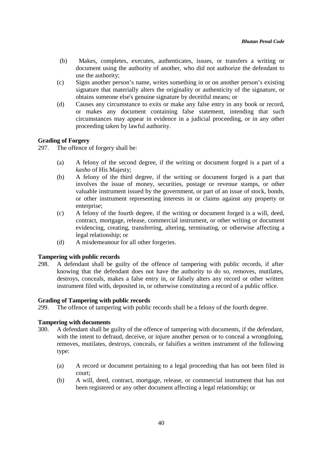- (b) Makes, completes, executes, authenticates, issues, or transfers a writing or document using the authority of another, who did not authorize the defendant to use the authority;
- (c) Signs another person's name, writes something in or on another person's existing signature that materially alters the originality or authenticity of the signature, or obtains someone else's genuine signature by deceitful means; or
- (d) Causes any circumstance to exits or make any false entry in any book or record, or makes any document containing false statement, intending that such circumstances may appear in evidence in a judicial proceeding, or in any other proceeding taken by lawful authority.

# **Grading of Forgery**

297. The offence of forgery shall be:

- (a) A felony of the second degree, if the writing or document forged is a part of a *kasho* of His Majesty;
- (b) A felony of the third degree, if the writing or document forged is a part that involves the issue of money, securities, postage or revenue stamps, or other valuable instrument issued by the government, or part of an issue of stock, bonds, or other instrument representing interests in or claims against any property or enterprise:
- (c) A felony of the fourth degree, if the writing or document forged is a will, deed, contract, mortgage, release, commercial instrument, or other writing or document evidencing, creating, transferring, altering, terminating, or otherwise affecting a legal relationship; or
- (d) A misdemeanour for all other forgeries.

### **Tampering with public records**

298. A defendant shall be guilty of the offence of tampering with public records, if after knowing that the defendant does not have the authority to do so, removes, mutilates, destroys, conceals, makes a false entry in, or falsely alters any record or other written instrument filed with, deposited in, or otherwise constituting a record of a public office.

### **Grading of Tampering with public records**

299. The offence of tampering with public records shall be a felony of the fourth degree.

# **Tampering with documents**

- 300. A defendant shall be guilty of the offence of tampering with documents, if the defendant, with the intent to defraud, deceive, or injure another person or to conceal a wrongdoing, removes, mutilates, destroys, conceals, or falsifies a written instrument of the following type:
	- (a) A record or document pertaining to a legal proceeding that has not been filed in court;
	- (b) A will, deed, contract, mortgage, release, or commercial instrument that has not been registered or any other document affecting a legal relationship; or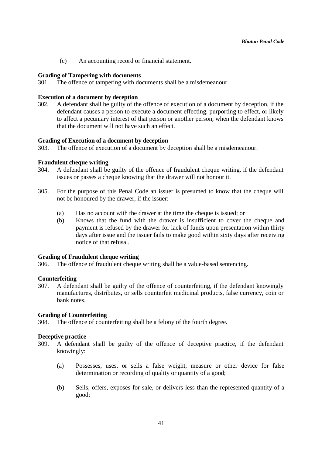(c) An accounting record or financial statement.

### **Grading of Tampering with documents**

301. The offence of tampering with documents shall be a misdemeanour.

### **Execution of a document by deception**

302. A defendant shall be guilty of the offence of execution of a document by deception, if the defendant causes a person to execute a document effecting, purporting to effect, or likely to affect a pecuniary interest of that person or another person, when the defendant knows that the document will not have such an effect.

#### **Grading of Execution of a document by deception**

303. The offence of execution of a document by deception shall be a misdemeanour.

#### **Fraudulent cheque writing**

- 304. A defendant shall be guilty of the offence of fraudulent cheque writing, if the defendant issues or passes a cheque knowing that the drawer will not honour it.
- 305. For the purpose of this Penal Code an issuer is presumed to know that the cheque will not be honoured by the drawer, if the issuer:
	- (a) Has no account with the drawer at the time the cheque is issued; or
	- (b) Knows that the fund with the drawer is insufficient to cover the cheque and payment is refused by the drawer for lack of funds upon presentation within thirty days after issue and the issuer fails to make good within sixty days after receiving notice of that refusal.

#### **Grading of Fraudulent cheque writing**

306. The offence of fraudulent cheque writing shall be a value-based sentencing.

### **Counterfeiting**

307. A defendant shall be guilty of the offence of counterfeiting, if the defendant knowingly manufactures, distributes, or sells counterfeit medicinal products, false currency, coin or bank notes.

#### **Grading of Counterfeiting**

308. The offence of counterfeiting shall be a felony of the fourth degree.

#### **Deceptive practice**

- 309. A defendant shall be guilty of the offence of deceptive practice, if the defendant knowingly:
	- (a) Possesses, uses, or sells a false weight, measure or other device for false determination or recording of quality or quantity of a good;
	- (b) Sells, offers, exposes for sale, or delivers less than the represented quantity of a good;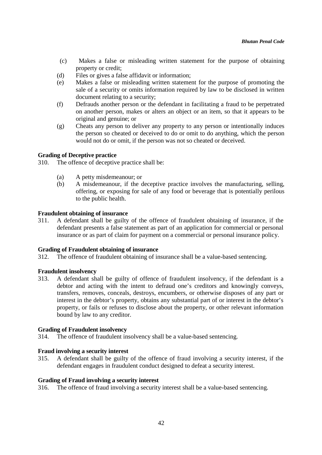- (c) Makes a false or misleading written statement for the purpose of obtaining property or credit;
- (d) Files or gives a false affidavit or information;
- (e) Makes a false or misleading written statement for the purpose of promoting the sale of a security or omits information required by law to be disclosed in written document relating to a security;
- (f) Defrauds another person or the defendant in facilitating a fraud to be perpetrated on another person, makes or alters an object or an item, so that it appears to be original and genuine; or
- (g) Cheats any person to deliver any property to any person or intentionally induces the person so cheated or deceived to do or omit to do anything, which the person would not do or omit, if the person was not so cheated or deceived.

# **Grading of Deceptive practice**

310. The offence of deceptive practice shall be:

- (a) A petty misdemeanour; or
- (b) A misdemeanour, if the deceptive practice involves the manufacturing, selling, offering, or exposing for sale of any food or beverage that is potentially perilous to the public health.

# **Fraudulent obtaining of insurance**

311. A defendant shall be guilty of the offence of fraudulent obtaining of insurance, if the defendant presents a false statement as part of an application for commercial or personal insurance or as part of claim for payment on a commercial or personal insurance policy.

### **Grading of Fraudulent obtaining of insurance**

312. The offence of fraudulent obtaining of insurance shall be a value-based sentencing.

### **Fraudulent insolvency**

313. A defendant shall be guilty of offence of fraudulent insolvency, if the defendant is a debtor and acting with the intent to defraud one's creditors and knowingly conveys, transfers, removes, conceals, destroys, encumbers, or otherwise disposes of any part or interest in the debtor's property, obtains any substantial part of or interest in the debtor's property, or fails or refuses to disclose about the property, or other relevant information bound by law to any creditor.

### **Grading of Fraudulent insolvency**

314. The offence of fraudulent insolvency shall be a value-based sentencing.

### **Fraud involving a security interest**

315. A defendant shall be guilty of the offence of fraud involving a security interest, if the defendant engages in fraudulent conduct designed to defeat a security interest.

### **Grading of Fraud involving a security interest**

316. The offence of fraud involving a security interest shall be a value-based sentencing.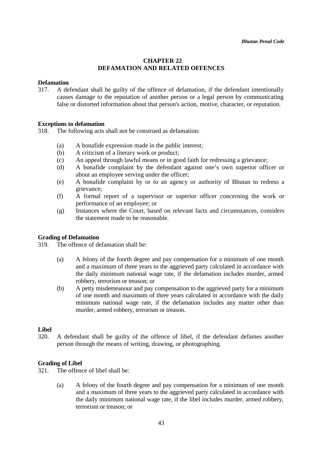# **CHAPTER 22 DEFAMATION AND RELATED OFFENCES**

# **Defamation**

317. A defendant shall be guilty of the offence of defamation, if the defendant intentionally causes damage to the reputation of another person or a legal person by communicating false or distorted information about that person's action, motive, character, or reputation.

### **Exceptions to defamation**

318. The following acts shall not be construed as defamation:

- (a) A bonafide expression made in the public interest;
- (b) A criticism of a literary work or product;
- (c) An appeal through lawful means or in good faith for redressing a grievance;
- (d) A bonafide complaint by the defendant against one's own superior officer or about an employee serving under the officer;
- (e) A bonafide complaint by or to an agency or authority of Bhutan to redress a grievance;
- (f) A formal report of a supervisor or superior officer concerning the work or performance of an employee; or
- (g) Instances where the Court, based on relevant facts and circumstances, considers the statement made to be reasonable.

### **Grading of Defamation**

319. The offence of defamation shall be:

- (a) A felony of the fourth degree and pay compensation for a minimum of one month and a maximum of three years to the aggrieved party calculated in accordance with the daily minimum national wage rate, if the defamation includes murder, armed robbery, terrorism or treason; or
- (b) A petty misdemeanour and pay compensation to the aggrieved party for a minimum of one month and maximum of three years calculated in accordance with the daily minimum national wage rate, if the defamation includes any matter other than murder, armed robbery, terrorism or treason.

# **Libel**

320. A defendant shall be guilty of the offence of libel, if the defendant defames another person through the means of writing, drawing, or photographing.

### **Grading of Libel**

321. The offence of libel shall be:

(a) A felony of the fourth degree and pay compensation for a minimum of one month and a maximum of three years to the aggrieved party calculated in accordance with the daily minimum national wage rate, if the libel includes murder, armed robbery, terrorism or treason; or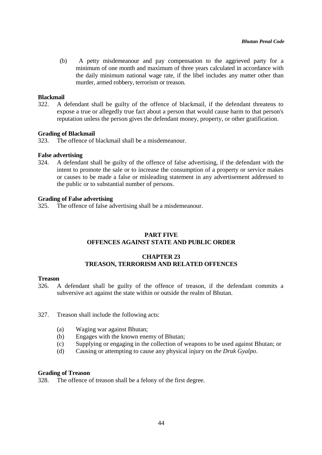(b) A petty misdemeanour and pay compensation to the aggrieved party for a minimum of one month and maximum of three years calculated in accordance with the daily minimum national wage rate, if the libel includes any matter other than murder, armed robbery, terrorism or treason.

#### **Blackmail**

322. A defendant shall be guilty of the offence of blackmail, if the defendant threatens to expose a true or allegedly true fact about a person that would cause harm to that person's reputation unless the person gives the defendant money, property, or other gratification.

#### **Grading of Blackmail**

323. The offence of blackmail shall be a misdemeanour.

#### **False advertising**

324. A defendant shall be guilty of the offence of false advertising, if the defendant with the intent to promote the sale or to increase the consumption of a property or service makes or causes to be made a false or misleading statement in any advertisement addressed to the public or to substantial number of persons.

#### **Grading of False advertising**

325. The offence of false advertising shall be a misdemeanour.

# **PART FIVE OFFENCES AGAINST STATE AND PUBLIC ORDER**

### **CHAPTER 23 TREASON, TERRORISM AND RELATED OFFENCES**

#### **Treason**

- 326. A defendant shall be guilty of the offence of treason, if the defendant commits a subversive act against the state within or outside the realm of Bhutan.
- 327. Treason shall include the following acts:
	- (a) Waging war against Bhutan;
	- (b) Engages with the known enemy of Bhutan;
	- (c) Supplying or engaging in the collection of weapons to be used against Bhutan; or
	- (d) Causing or attempting to cause any physical injury on *the Druk Gyalpo*.

### **Grading of Treason**

328. The offence of treason shall be a felony of the first degree.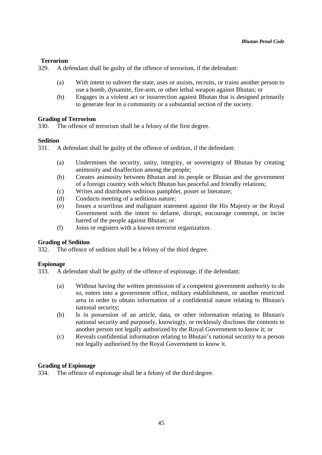# **Terrorism**

329. A defendant shall be guilty of the offence of terrorism, if the defendant:

- (a) With intent to subvert the state, uses or assists, recruits, or trains another person to use a bomb, dynamite, fire-arm, or other lethal weapon against Bhutan; or
- (b) Engages in a violent act or insurrection against Bhutan that is designed primarily to generate fear in a community or a substantial section of the society.

# **Grading of Terrorism**

330. The offence of terrorism shall be a felony of the first degree.

# **Sedition**

331. A defendant shall be guilty of the offence of sedition, if the defendant:

- (a) Undermines the security, unity, integrity, or sovereignty of Bhutan by creating animosity and disaffection among the people;
- (b) Creates animosity between Bhutan and its people or Bhutan and the government of a foreign country with which Bhutan has peaceful and friendly relations;
- (c) Writes and distributes seditious pamphlet, poster or literature;
- (d) Conducts meeting of a seditious nature;
- (e) Issues a scurrilous and malignant statement against the His Majesty or the Royal Government with the intent to defame, disrupt, encourage contempt, or incite hatred of the people against Bhutan; or
- (f) Joins or registers with a known terrorist organization.

# **Grading of Sedition**

332. The offence of sedition shall be a felony of the third degree.

# **Espionage**

333. A defendant shall be guilty of the offence of espionage, if the defendant:

- (a) Without having the written permission of a competent government authority to do so, enters into a government office, military establishment, or another restricted area in order to obtain information of a confidential nature relating to Bhutan's national security;
- (b) Is in possession of an article, data, or other information relating to Bhutan's national security and purposely, knowingly, or recklessly discloses the contents to another person not legally authorized by the Royal Government to know it; or
- (c) Reveals confidential information relating to Bhutan's national security to a person not legally authorised by the Royal Government to know it.

# **Grading of Espionage**

334. The offence of espionage shall be a felony of the third degree.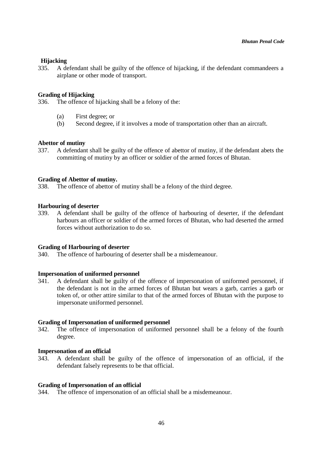# **Hijacking**

335. A defendant shall be guilty of the offence of hijacking, if the defendant commandeers a airplane or other mode of transport.

### **Grading of Hijacking**

336. The offence of hijacking shall be a felony of the:

- (a) First degree; or
- (b) Second degree, if it involves a mode of transportation other than an aircraft.

# **Abettor of mutiny**

337. A defendant shall be guilty of the offence of abettor of mutiny, if the defendant abets the committing of mutiny by an officer or soldier of the armed forces of Bhutan.

# **Grading of Abettor of mutiny.**

338. The offence of abettor of mutiny shall be a felony of the third degree.

# **Harbouring of deserter**

339. A defendant shall be guilty of the offence of harbouring of deserter, if the defendant harbours an officer or soldier of the armed forces of Bhutan, who had deserted the armed forces without authorization to do so.

### **Grading of Harbouring of deserter**

340. The offence of harbouring of deserter shall be a misdemeanour.

### **Impersonation of uniformed personnel**

341. A defendant shall be guilty of the offence of impersonation of uniformed personnel, if the defendant is not in the armed forces of Bhutan but wears a garb, carries a garb or token of, or other attire similar to that of the armed forces of Bhutan with the purpose to impersonate uniformed personnel.

### **Grading of Impersonation of uniformed personnel**

342. The offence of impersonation of uniformed personnel shall be a felony of the fourth degree.

### **Impersonation of an official**

343. A defendant shall be guilty of the offence of impersonation of an official, if the defendant falsely represents to be that official.

### **Grading of Impersonation of an official**

344. The offence of impersonation of an official shall be a misdemeanour.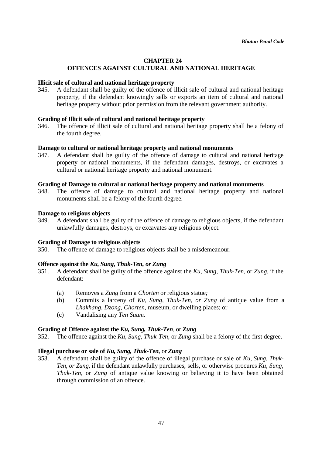# **CHAPTER 24 OFFENCES AGAINST CULTURAL AND NATIONAL HERITAGE**

### **Illicit sale of cultural and national heritage property**

345. A defendant shall be guilty of the offence of illicit sale of cultural and national heritage property, if the defendant knowingly sells or exports an item of cultural and national heritage property without prior permission from the relevant government authority.

# **Grading of Illicit sale of cultural and national heritage property**

346. The offence of illicit sale of cultural and national heritage property shall be a felony of the fourth degree.

# **Damage to cultural or national heritage property and national monuments**

347. A defendant shall be guilty of the offence of damage to cultural and national heritage property or national monuments, if the defendant damages, destroys, or excavates a cultural or national heritage property and national monument.

### **Grading of Damage to cultural or national heritage property and national monuments**

348. The offence of damage to cultural and national heritage property and national monuments shall be a felony of the fourth degree.

### **Damage to religious objects**

349. A defendant shall be guilty of the offence of damage to religious objects, if the defendant unlawfully damages, destroys, or excavates any religious object.

### **Grading of Damage to religious objects**

350. The offence of damage to religious objects shall be a misdemeanour.

### **Offence against the** *Ku, Sung, Thuk-Ten, or Zung*

- 351. A defendant shall be guilty of the offence against the *Ku, Sung, Thuk-Ten,* or *Zung,* if the defendant:
	- (a) Removes a *Zung* from a *Chorten* or religious statue*;*
	- (b) Commits a larceny of *Ku, Sung, Thuk-Ten, or Zung* of antique value from a *Lhakhang*, *Dzong, Chorten,* museum, or dwelling places; or
	- (c) Vandalising any *Ten Suum.*

### **Grading of Offence against the** *Ku, Sung, Thuk-Ten,* or *Zung*

352. The offence against the *Ku, Sung, Thuk-Ten,* or *Zung* shall be a felony of the first degree.

### **Illegal purchase or sale of** *Ku, Sung, Thuk-Ten,* or *Zung*

353. A defendant shall be guilty of the offence of illegal purchase or sale of *Ku, Sung, Thuk-Ten, or Zung,* if the defendant unlawfully purchases, sells, or otherwise procures *Ku, Sung, Thuk-Ten,* or *Zung* of antique value knowing or believing it to have been obtained through commission of an offence.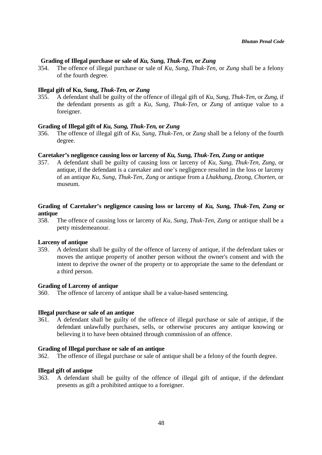# **Grading of Illegal purchase or sale of** *Ku, Sung, Thuk-Ten,* **or** *Zung*

354. The offence of illegal purchase or sale of *Ku, Sung, Thuk-Ten,* or *Zung* shall be a felony of the fourth degree.

#### **Illegal gift of Ku, Sung,** *Thuk-Ten, or Zung*

355. A defendant shall be guilty of the offence of illegal gift of *Ku, Sung, Thuk-Ten,* or *Zung,* if the defendant presents as gift a *Ku, Sung, Thuk-Ten,* or *Zung* of antique value to a foreigner.

#### **Grading of Illegal gift of** *Ku, Sung, Thuk-Ten,* **or** *Zung*

356. The offence of illegal gift of *Ku, Sung, Thuk-Ten,* or *Zung* shall be a felony of the fourth degree.

#### **Caretaker's negligence causing loss or larceny of** *Ku, Sung, Thuk-Ten, Zung* **or antique**

357. A defendant shall be guilty of causing loss or larceny of *Ku, Sung, Thuk-Ten, Zung,* or antique, if the defendant is a caretaker and one's negligence resulted in the loss or larceny of an antique *Ku, Sung, Thuk-Ten, Zung* or antique from a *Lhakhang*, *Dzong, Chorten,* or museum.

# **Grading of Caretaker's negligence causing loss or larceny of** *Ku, Sung, Thuk-Ten, Zung* **or antique**

358. The offence of causing loss or larceny of *Ku, Sung, Thuk-Ten, Zung* or antique shall be a petty misdemeanour.

#### **Larceny of antique**

359. A defendant shall be guilty of the offence of larceny of antique, if the defendant takes or moves the antique property of another person without the owner's consent and with the intent to deprive the owner of the property or to appropriate the same to the defendant or a third person.

#### **Grading of Larceny of antique**

360. The offence of larceny of antique shall be a value-based sentencing.

#### **Illegal purchase or sale of an antique**

361. A defendant shall be guilty of the offence of illegal purchase or sale of antique*,* if the defendant unlawfully purchases, sells, or otherwise procures any antique knowing or believing it to have been obtained through commission of an offence.

#### **Grading of Illegal purchase or sale of an antique**

362. The offence of illegal purchase or sale of antique shall be a felony of the fourth degree.

### **Illegal gift of antique**

363. A defendant shall be guilty of the offence of illegal gift of antique*,* if the defendant presents as gift a prohibited antique to a foreigner.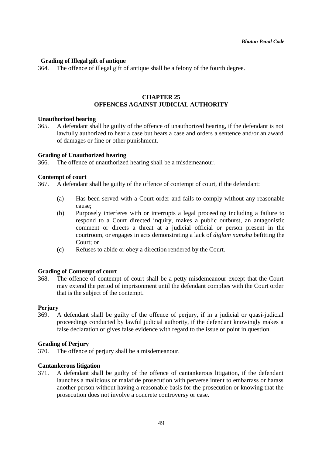# **Grading of Illegal gift of antique**

364. The offence of illegal gift of antique shall be a felony of the fourth degree.

# **CHAPTER 25 OFFENCES AGAINST JUDICIAL AUTHORITY**

### **Unauthorized hearing**

365. A defendant shall be guilty of the offence of unauthorized hearing, if the defendant is not lawfully authorized to hear a case but hears a case and orders a sentence and/or an award of damages or fine or other punishment.

#### **Grading of Unauthorized hearing**

366. The offence of unauthorized hearing shall be a misdemeanour.

#### **Contempt of court**

367. A defendant shall be guilty of the offence of contempt of court, if the defendant:

- (a) Has been served with a Court order and fails to comply without any reasonable cause;
- (b) Purposely interferes with or interrupts a legal proceeding including a failure to respond to a Court directed inquiry, makes a public outburst, an antagonistic comment or directs a threat at a judicial official or person present in the courtroom, or engages in acts demonstrating a lack of *diglam namsha* befitting the Court; or
- (c) Refuses to abide or obey a direction rendered by the Court.

### **Grading of Contempt of court**

368. The offence of contempt of court shall be a petty misdemeanour except that the Court may extend the period of imprisonment until the defendant complies with the Court order that is the subject of the contempt.

#### **Perjury**

369. A defendant shall be guilty of the offence of perjury, if in a judicial or quasi-judicial proceedings conducted by lawful judicial authority, if the defendant knowingly makes a false declaration or gives false evidence with regard to the issue or point in question.

#### **Grading of Perjury**

370. The offence of perjury shall be a misdemeanour.

#### **Cantankerous litigation**

371. A defendant shall be guilty of the offence of cantankerous litigation, if the defendant launches a malicious or malafide prosecution with perverse intent to embarrass or harass another person without having a reasonable basis for the prosecution or knowing that the prosecution does not involve a concrete controversy or case.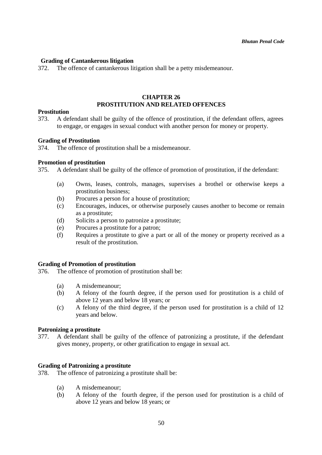# **Grading of Cantankerous litigation**

372. The offence of cantankerous litigation shall be a petty misdemeanour.

# **CHAPTER 26 PROSTITUTION AND RELATED OFFENCES**

#### **Prostitution**

373. A defendant shall be guilty of the offence of prostitution, if the defendant offers, agrees to engage, or engages in sexual conduct with another person for money or property.

#### **Grading of Prostitution**

374. The offence of prostitution shall be a misdemeanour.

#### **Promotion of prostitution**

375. A defendant shall be guilty of the offence of promotion of prostitution, if the defendant:

- (a) Owns, leases, controls, manages, supervises a brothel or otherwise keeps a prostitution business;
- (b) Procures a person for a house of prostitution;
- (c) Encourages, induces, or otherwise purposely causes another to become or remain as a prostitute;
- (d) Solicits a person to patronize a prostitute;
- (e) Procures a prostitute for a patron;
- (f) Requires a prostitute to give a part or all of the money or property received as a result of the prostitution.

### **Grading of Promotion of prostitution**

- 376. The offence of promotion of prostitution shall be:
	- (a) A misdemeanour;
	- (b) A felony of the fourth degree, if the person used for prostitution is a child of above 12 years and below 18 years; or
	- (c) A felony of the third degree, if the person used for prostitution is a child of 12 years and below.

### **Patronizing a prostitute**

377. A defendant shall be guilty of the offence of patronizing a prostitute, if the defendant gives money, property, or other gratification to engage in sexual act.

### **Grading of Patronizing a prostitute**

378. The offence of patronizing a prostitute shall be:

- (a) A misdemeanour;
- (b) A felony of the fourth degree, if the person used for prostitution is a child of above 12 years and below 18 years; or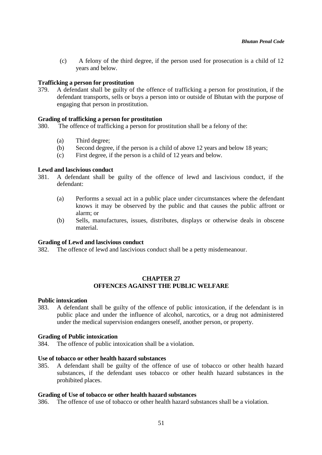(c) A felony of the third degree, if the person used for prosecution is a child of 12 years and below.

### **Trafficking a person for prostitution**

379. A defendant shall be guilty of the offence of trafficking a person for prostitution, if the defendant transports, sells or buys a person into or outside of Bhutan with the purpose of engaging that person in prostitution.

### **Grading of trafficking a person for prostitution**

- 380. The offence of trafficking a person for prostitution shall be a felony of the:
	- (a) Third degree;
	- (b) Second degree, if the person is a child of above 12 years and below 18 years;
	- (c) First degree, if the person is a child of 12 years and below.

#### **Lewd and lascivious conduct**

- 381. A defendant shall be guilty of the offence of lewd and lascivious conduct, if the defendant:
	- (a) Performs a sexual act in a public place under circumstances where the defendant knows it may be observed by the public and that causes the public affront or alarm; or
	- (b) Sells, manufactures, issues, distributes, displays or otherwise deals in obscene material.

#### **Grading of Lewd and lascivious conduct**

382. The offence of lewd and lascivious conduct shall be a petty misdemeanour.

# **CHAPTER 27 OFFENCES AGAINST THE PUBLIC WELFARE**

#### **Public intoxication**

383. A defendant shall be guilty of the offence of public intoxication, if the defendant is in public place and under the influence of alcohol, narcotics, or a drug not administered under the medical supervision endangers oneself, another person, or property.

#### **Grading of Public intoxication**

384. The offence of public intoxication shall be a violation.

#### **Use of tobacco or other health hazard substances**

385. A defendant shall be guilty of the offence of use of tobacco or other health hazard substances, if the defendant uses tobacco or other health hazard substances in the prohibited places.

#### **Grading of Use of tobacco or other health hazard substances**

386. The offence of use of tobacco or other health hazard substances shall be a violation.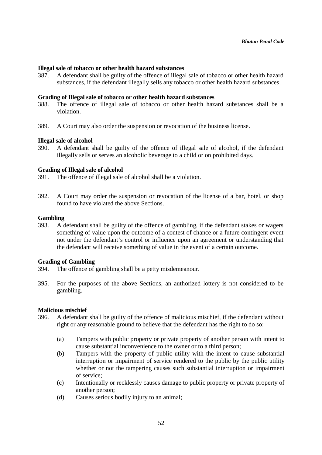#### **Illegal sale of tobacco or other health hazard substances**

387. A defendant shall be guilty of the offence of illegal sale of tobacco or other health hazard substances, if the defendant illegally sells any tobacco or other health hazard substances.

#### **Grading of Illegal sale of tobacco or other health hazard substances**

- 388. The offence of illegal sale of tobacco or other health hazard substances shall be a violation.
- 389. A Court may also order the suspension or revocation of the business license.

#### **Illegal sale of alcohol**

390. A defendant shall be guilty of the offence of illegal sale of alcohol, if the defendant illegally sells or serves an alcoholic beverage to a child or on prohibited days.

#### **Grading of Illegal sale of alcohol**

- 391. The offence of illegal sale of alcohol shall be a violation.
- 392. A Court may order the suspension or revocation of the license of a bar, hotel, or shop found to have violated the above Sections.

#### **Gambling**

393. A defendant shall be guilty of the offence of gambling, if the defendant stakes or wagers something of value upon the outcome of a contest of chance or a future contingent event not under the defendant's control or influence upon an agreement or understanding that the defendant will receive something of value in the event of a certain outcome.

#### **Grading of Gambling**

- 394. The offence of gambling shall be a petty misdemeanour.
- 395. For the purposes of the above Sections, an authorized lottery is not considered to be gambling.

#### **Malicious mischief**

- 396. A defendant shall be guilty of the offence of malicious mischief, if the defendant without right or any reasonable ground to believe that the defendant has the right to do so:
	- (a) Tampers with public property or private property of another person with intent to cause substantial inconvenience to the owner or to a third person;
	- (b) Tampers with the property of public utility with the intent to cause substantial interruption or impairment of service rendered to the public by the public utility whether or not the tampering causes such substantial interruption or impairment of service;
	- (c) Intentionally or recklessly causes damage to public property or private property of another person;
	- (d) Causes serious bodily injury to an animal;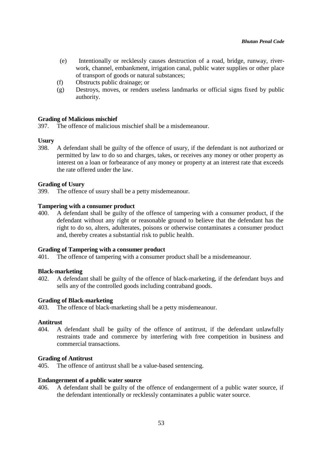- (e) Intentionally or recklessly causes destruction of a road, bridge, runway, riverwork, channel, embankment, irrigation canal, public water supplies or other place of transport of goods or natural substances;
- (f) Obstructs public drainage; or
- (g) Destroys, moves, or renders useless landmarks or official signs fixed by public authority.

# **Grading of Malicious mischief**

397. The offence of malicious mischief shall be a misdemeanour.

# **Usury**

398. A defendant shall be guilty of the offence of usury, if the defendant is not authorized or permitted by law to do so and charges, takes, or receives any money or other property as interest on a loan or forbearance of any money or property at an interest rate that exceeds the rate offered under the law.

### **Grading of Usury**

399. The offence of usury shall be a petty misdemeanour.

### **Tampering with a consumer product**

400. A defendant shall be guilty of the offence of tampering with a consumer product, if the defendant without any right or reasonable ground to believe that the defendant has the right to do so, alters, adulterates, poisons or otherwise contaminates a consumer product and, thereby creates a substantial risk to public health.

### **Grading of Tampering with a consumer product**

401. The offence of tampering with a consumer product shall be a misdemeanour.

### **Black-marketing**

402. A defendant shall be guilty of the offence of black-marketing, if the defendant buys and sells any of the controlled goods including contraband goods.

### **Grading of Black-marketing**

403. The offence of black-marketing shall be a petty misdemeanour.

### **Antitrust**

404. A defendant shall be guilty of the offence of antitrust, if the defendant unlawfully restraints trade and commerce by interfering with free competition in business and commercial transactions.

### **Grading of Antitrust**

405. The offence of antitrust shall be a value-based sentencing.

### **Endangerment of a public water source**

406. A defendant shall be guilty of the offence of endangerment of a public water source, if the defendant intentionally or recklessly contaminates a public water source.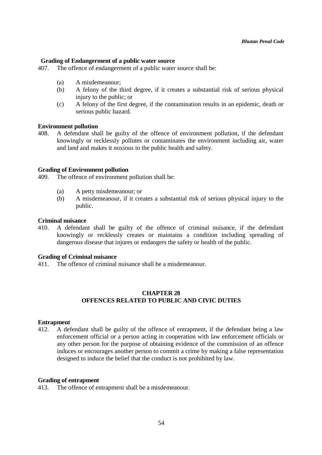### **Grading of Endangerment of a public water source**

407. The offence of endangerment of a public water source shall be:

- (a) A misdemeanour;
- (b) A felony of the third degree, if it creates a substantial risk of serious physical injury to the public; or
- (c) A felony of the first degree, if the contamination results in an epidemic, death or serious public hazard.

#### **Environment pollution**

408. A defendant shall be guilty of the offence of environment pollution, if the defendant knowingly or recklessly pollutes or contaminates the environment including air, water and land and makes it noxious to the public health and safety.

#### **Grading of Environment pollution**

409. The offence of environment pollution shall be:

- (a) A petty misdemeanour; or
- (b) A misdemeanour, if it creates a substantial risk of serious physical injury to the public.

#### **Criminal nuisance**

410. A defendant shall be guilty of the offence of criminal nuisance, if the defendant knowingly or recklessly creates or maintains a condition including spreading of dangerous disease that injures or endangers the safety or health of the public.

#### **Grading of Criminal nuisance**

411. The offence of criminal nuisance shall be a misdemeanour.

# **CHAPTER 28 OFFENCES RELATED TO PUBLIC AND CIVIC DUTIES**

#### **Entrapment**

412. A defendant shall be guilty of the offence of entrapment, if the defendant being a law enforcement official or a person acting in cooperation with law enforcement officials or any other person for the purpose of obtaining evidence of the commission of an offence induces or encourages another person to commit a crime by making a false representation designed to induce the belief that the conduct is not prohibited by law.

#### **Grading of entrapment**

413. The offence of entrapment shall be a misdemeanour.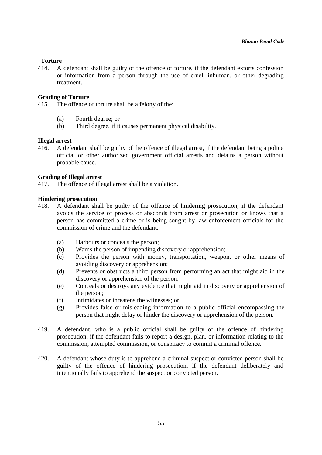# **Torture**

414. A defendant shall be guilty of the offence of torture, if the defendant extorts confession or information from a person through the use of cruel, inhuman, or other degrading treatment.

### **Grading of Torture**

415. The offence of torture shall be a felony of the:

- (a) Fourth degree; or
- (b) Third degree, if it causes permanent physical disability.

# **Illegal arrest**

416. A defendant shall be guilty of the offence of illegal arrest, if the defendant being a police official or other authorized government official arrests and detains a person without probable cause.

# **Grading of Illegal arrest**

417. The offence of illegal arrest shall be a violation.

### **Hindering prosecution**

- 418. A defendant shall be guilty of the offence of hindering prosecution, if the defendant avoids the service of process or absconds from arrest or prosecution or knows that a person has committed a crime or is being sought by law enforcement officials for the commission of crime and the defendant:
	- (a) Harbours or conceals the person;
	- (b) Warns the person of impending discovery or apprehension;
	- (c) Provides the person with money, transportation, weapon, or other means of avoiding discovery or apprehension;
	- (d) Prevents or obstructs a third person from performing an act that might aid in the discovery or apprehension of the person;
	- (e) Conceals or destroys any evidence that might aid in discovery or apprehension of the person;
	- (f) Intimidates or threatens the witnesses; or
	- (g) Provides false or misleading information to a public official encompassing the person that might delay or hinder the discovery or apprehension of the person.
- 419. A defendant, who is a public official shall be guilty of the offence of hindering prosecution, if the defendant fails to report a design, plan, or information relating to the commission, attempted commission, or conspiracy to commit a criminal offence.
- 420. A defendant whose duty is to apprehend a criminal suspect or convicted person shall be guilty of the offence of hindering prosecution, if the defendant deliberately and intentionally fails to apprehend the suspect or convicted person.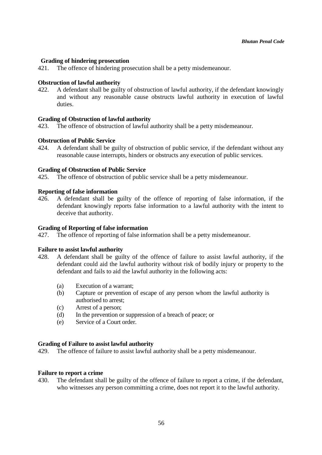### **Grading of hindering prosecution**

421. The offence of hindering prosecution shall be a petty misdemeanour.

# **Obstruction of lawful authority**

422. A defendant shall be guilty of obstruction of lawful authority, if the defendant knowingly and without any reasonable cause obstructs lawful authority in execution of lawful duties.

# **Grading of Obstruction of lawful authority**

423. The offence of obstruction of lawful authority shall be a petty misdemeanour.

# **Obstruction of Public Service**

424. A defendant shall be guilty of obstruction of public service, if the defendant without any reasonable cause interrupts, hinders or obstructs any execution of public services.

# **Grading of Obstruction of Public Service**

425. The offence of obstruction of public service shall be a petty misdemeanour.

# **Reporting of false information**

426. A defendant shall be guilty of the offence of reporting of false information, if the defendant knowingly reports false information to a lawful authority with the intent to deceive that authority.

# **Grading of Reporting of false information**

427. The offence of reporting of false information shall be a petty misdemeanour.

### **Failure to assist lawful authority**

- 428. A defendant shall be guilty of the offence of failure to assist lawful authority, if the defendant could aid the lawful authority without risk of bodily injury or property to the defendant and fails to aid the lawful authority in the following acts:
	- (a) Execution of a warrant;
	- (b) Capture or prevention of escape of any person whom the lawful authority is authorised to arrest;
	- (c) Arrest of a person;
	- (d) In the prevention or suppression of a breach of peace; or
	- (e) Service of a Court order.

### **Grading of Failure to assist lawful authority**

429. The offence of failure to assist lawful authority shall be a petty misdemeanour.

### **Failure to report a crime**

430. The defendant shall be guilty of the offence of failure to report a crime, if the defendant, who witnesses any person committing a crime, does not report it to the lawful authority.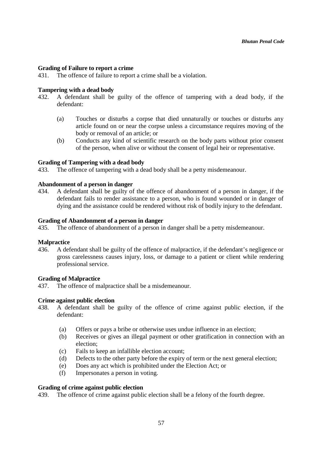### **Grading of Failure to report a crime**

431. The offence of failure to report a crime shall be a violation.

# **Tampering with a dead body**

- 432. A defendant shall be guilty of the offence of tampering with a dead body, if the defendant:
	- (a) Touches or disturbs a corpse that died unnaturally or touches or disturbs any article found on or near the corpse unless a circumstance requires moving of the body or removal of an article; or
	- (b) Conducts any kind of scientific research on the body parts without prior consent of the person, when alive or without the consent of legal heir or representative.

### **Grading of Tampering with a dead body**

433. The offence of tampering with a dead body shall be a petty misdemeanour.

# **Abandonment of a person in danger**

434. A defendant shall be guilty of the offence of abandonment of a person in danger, if the defendant fails to render assistance to a person, who is found wounded or in danger of dying and the assistance could be rendered without risk of bodily injury to the defendant.

### **Grading of Abandonment of a person in danger**

435. The offence of abandonment of a person in danger shall be a petty misdemeanour.

### **Malpractice**

436. A defendant shall be guilty of the offence of malpractice, if the defendant's negligence or gross carelessness causes injury, loss, or damage to a patient or client while rendering professional service.

### **Grading of Malpractice**

437. The offence of malpractice shall be a misdemeanour.

### **Crime against public election**

- 438. A defendant shall be guilty of the offence of crime against public election, if the defendant:
	- (a) Offers or pays a bribe or otherwise uses undue influence in an election;
	- (b) Receives or gives an illegal payment or other gratification in connection with an election;
	- (c) Fails to keep an infallible election account;
	- (d) Defects to the other party before the expiry of term or the next general election;
	- (e) Does any act which is prohibited under the Election Act; or
	- (f) Impersonates a person in voting.

#### **Grading of crime against public election**

439. The offence of crime against public election shall be a felony of the fourth degree.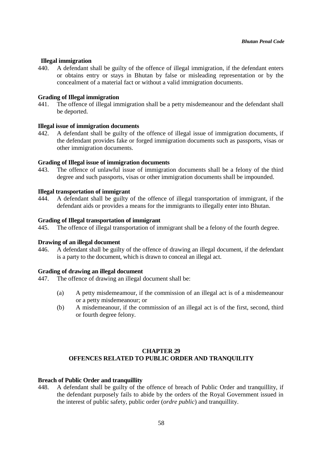### **Illegal immigration**

440. A defendant shall be guilty of the offence of illegal immigration, if the defendant enters or obtains entry or stays in Bhutan by false or misleading representation or by the concealment of a material fact or without a valid immigration documents.

### **Grading of Illegal immigration**

441. The offence of illegal immigration shall be a petty misdemeanour and the defendant shall be deported.

# **Illegal issue of immigration documents**

442. A defendant shall be guilty of the offence of illegal issue of immigration documents, if the defendant provides fake or forged immigration documents such as passports, visas or other immigration documents.

# **Grading of Illegal issue of immigration documents**

443. The offence of unlawful issue of immigration documents shall be a felony of the third degree and such passports, visas or other immigration documents shall be impounded.

### **Illegal transportation of immigrant**

444. A defendant shall be guilty of the offence of illegal transportation of immigrant, if the defendant aids or provides a means for the immigrants to illegally enter into Bhutan.

### **Grading of Illegal transportation of immigrant**

445. The offence of illegal transportation of immigrant shall be a felony of the fourth degree.

### **Drawing of an illegal document**

446. A defendant shall be guilty of the offence of drawing an illegal document, if the defendant is a party to the document, which is drawn to conceal an illegal act.

### **Grading of drawing an illegal document**

- 447. The offence of drawing an illegal document shall be:
	- (a) A petty misdemeamour, if the commission of an illegal act is of a misdemeanour or a petty misdemeanour; or
	- (b) A misdemeanour, if the commission of an illegal act is of the first, second, third or fourth degree felony.

# **CHAPTER 29 OFFENCES RELATED TO PUBLIC ORDER AND TRANQUILITY**

### **Breach of Public Order and tranquillity**

448. A defendant shall be guilty of the offence of breach of Public Order and tranquillity, if the defendant purposely fails to abide by the orders of the Royal Government issued in the interest of public safety, public order (*ordre public*) and tranquillity.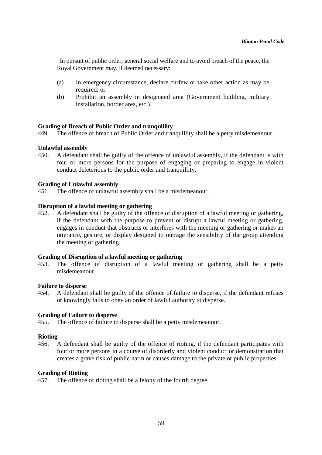In pursuit of public order, general social welfare and to avoid breach of the peace, the Royal Government may, if deemed necessary:

- (a) In emergency circumstance, declare curfew or take other action as may be required; or
- (b) Prohibit an assembly in designated area (Government building, military installation, border area, etc.).

### **Grading of Breach of Public Order and tranquillity**

449. The offence of breach of Public Order and tranquillity shall be a petty misdemeanour.

### **Unlawful assembly**

450. A defendant shall be guilty of the offence of unlawful assembly, if the defendant is with four or more persons for the purpose of engaging or preparing to engage in violent conduct deleterious to the public order and tranquillity.

#### **Grading of Unlawful assembly**

451. The offence of unlawful assembly shall be a misdemeanour.

### **Disruption of a lawful meeting or gathering**

452. A defendant shall be guilty of the offence of disruption of a lawful meeting or gathering, if the defendant with the purpose to prevent or disrupt a lawful meeting or gathering, engages in conduct that obstructs or interferes with the meeting or gathering or makes an utterance, gesture, or display designed to outrage the sensibility of the group attending the meeting or gathering.

#### **Grading of Disruption of a lawful meeting or gathering**

453. The offence of disruption of a lawful meeting or gathering shall be a petty misdemeanour.

#### **Failure to disperse**

454. A defendant shall be guilty of the offence of failure to disperse, if the defendant refuses or knowingly fails to obey an order of lawful authority to disperse.

#### **Grading of Failure to disperse**

455. The offence of failure to disperse shall be a petty misdemeanour.

#### **Rioting**

456. A defendant shall be guilty of the offence of rioting, if the defendant participates with four or more persons in a course of disorderly and violent conduct or demonstration that creates a grave risk of public harm or causes damage to the private or public properties.

#### **Grading of Rioting**

457. The offence of rioting shall be a felony of the fourth degree.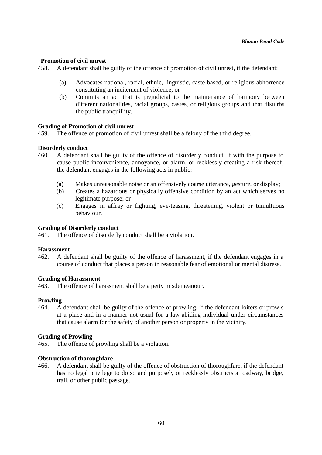## **Promotion of civil unrest**

458. A defendant shall be guilty of the offence of promotion of civil unrest, if the defendant:

- (a) Advocates national, racial, ethnic, linguistic, caste-based, or religious abhorrence constituting an incitement of violence; or
- (b) Commits an act that is prejudicial to the maintenance of harmony between different nationalities, racial groups, castes, or religious groups and that disturbs the public tranquillity.

### **Grading of Promotion of civil unrest**

459. The offence of promotion of civil unrest shall be a felony of the third degree.

### **Disorderly conduct**

- 460. A defendant shall be guilty of the offence of disorderly conduct, if with the purpose to cause public inconvenience, annoyance, or alarm, or recklessly creating a risk thereof, the defendant engages in the following acts in public:
	- (a) Makes unreasonable noise or an offensively coarse utterance, gesture, or display;
	- (b) Creates a hazardous or physically offensive condition by an act which serves no legitimate purpose; or
	- (c) Engages in affray or fighting, eve-teasing, threatening, violent or tumultuous behaviour.

# **Grading of Disorderly conduct**

461. The offence of disorderly conduct shall be a violation.

#### **Harassment**

462. A defendant shall be guilty of the offence of harassment, if the defendant engages in a course of conduct that places a person in reasonable fear of emotional or mental distress.

### **Grading of Harassment**

463. The offence of harassment shall be a petty misdemeanour.

### **Prowling**

464. A defendant shall be guilty of the offence of prowling, if the defendant loiters or prowls at a place and in a manner not usual for a law-abiding individual under circumstances that cause alarm for the safety of another person or property in the vicinity.

### **Grading of Prowling**

465. The offence of prowling shall be a violation.

#### **Obstruction of thoroughfare**

466. A defendant shall be guilty of the offence of obstruction of thoroughfare, if the defendant has no legal privilege to do so and purposely or recklessly obstructs a roadway, bridge, trail, or other public passage.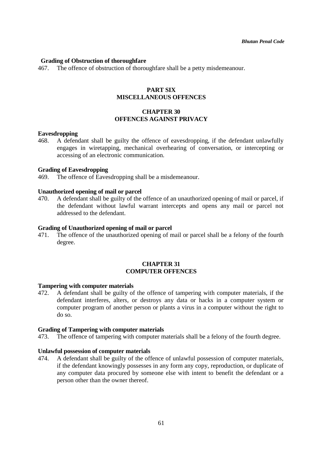#### **Grading of Obstruction of thoroughfare**

467. The offence of obstruction of thoroughfare shall be a petty misdemeanour.

# **PART SIX MISCELLANEOUS OFFENCES**

# **CHAPTER 30 OFFENCES AGAINST PRIVACY**

#### **Eavesdropping**

468. A defendant shall be guilty the offence of eavesdropping, if the defendant unlawfully engages in wiretapping, mechanical overhearing of conversation, or intercepting or accessing of an electronic communication.

#### **Grading of Eavesdropping**

469. The offence of Eavesdropping shall be a misdemeanour.

#### **Unauthorized opening of mail or parcel**

470. A defendant shall be guilty of the offence of an unauthorized opening of mail or parcel, if the defendant without lawful warrant intercepts and opens any mail or parcel not addressed to the defendant.

# **Grading of Unauthorized opening of mail or parcel**

471. The offence of the unauthorized opening of mail or parcel shall be a felony of the fourth degree.

# **CHAPTER 31 COMPUTER OFFENCES**

#### **Tampering with computer materials**

472. A defendant shall be guilty of the offence of tampering with computer materials, if the defendant interferes, alters, or destroys any data or hacks in a computer system or computer program of another person or plants a virus in a computer without the right to do so.

#### **Grading of Tampering with computer materials**

473. The offence of tampering with computer materials shall be a felony of the fourth degree.

#### **Unlawful possession of computer materials**

474. A defendant shall be guilty of the offence of unlawful possession of computer materials, if the defendant knowingly possesses in any form any copy, reproduction, or duplicate of any computer data procured by someone else with intent to benefit the defendant or a person other than the owner thereof.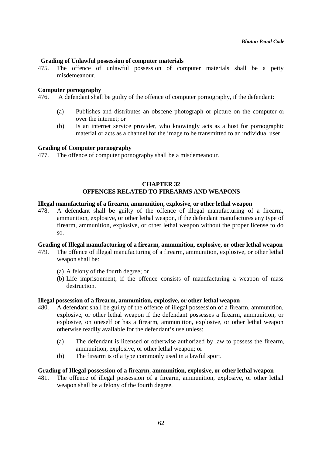## **Grading of Unlawful possession of computer materials**

475. The offence of unlawful possession of computer materials shall be a petty misdemeanour.

#### **Computer pornography**

476. A defendant shall be guilty of the offence of computer pornography, if the defendant:

- (a) Publishes and distributes an obscene photograph or picture on the computer or over the internet; or
- (b) Is an internet service provider, who knowingly acts as a host for pornographic material or acts as a channel for the image to be transmitted to an individual user.

#### **Grading of Computer pornography**

477. The offence of computer pornography shall be a misdemeanour.

## **CHAPTER 32 OFFENCES RELATED TO FIREARMS AND WEAPONS**

## **Illegal manufacturing of a firearm, ammunition, explosive, or other lethal weapon**

478. A defendant shall be guilty of the offence of illegal manufacturing of a firearm, ammunition, explosive, or other lethal weapon, if the defendant manufactures any type of firearm, ammunition, explosive, or other lethal weapon without the proper license to do so.

### **Grading of Illegal manufacturing of a firearm, ammunition, explosive, or other lethal weapon**

- 479. The offence of illegal manufacturing of a firearm, ammunition, explosive, or other lethal weapon shall be:
	- (a) A felony of the fourth degree; or
	- (b) Life imprisonment, if the offence consists of manufacturing a weapon of mass destruction.

#### **Illegal possession of a firearm, ammunition, explosive, or other lethal weapon**

- 480. A defendant shall be guilty of the offence of illegal possession of a firearm, ammunition, explosive, or other lethal weapon if the defendant possesses a firearm, ammunition, or explosive, on oneself or has a firearm, ammunition, explosive, or other lethal weapon otherwise readily available for the defendant's use unless:
	- (a) The defendant is licensed or otherwise authorized by law to possess the firearm, ammunition, explosive, or other lethal weapon; or
	- (b) The firearm is of a type commonly used in a lawful sport.

### **Grading of Illegal possession of a firearm, ammunition, explosive, or other lethal weapon**

481. The offence of illegal possession of a firearm, ammunition, explosive, or other lethal weapon shall be a felony of the fourth degree.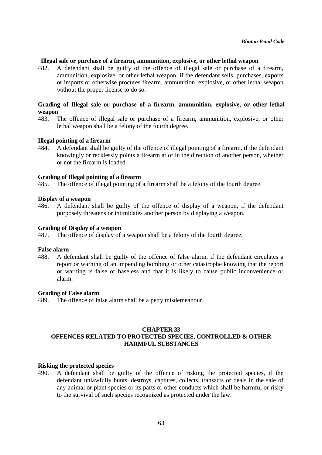### **Illegal sale or purchase of a firearm, ammunition, explosive, or other lethal weapon**

482. A defendant shall be guilty of the offence of illegal sale or purchase of a firearm, ammunition, explosive, or other lethal weapon, if the defendant sells, purchases, exports or imports or otherwise procures firearm, ammunition, explosive, or other lethal weapon without the proper license to do so.

# **Grading of Illegal sale or purchase of a firearm, ammunition, explosive, or other lethal weapon**

483. The offence of illegal sale or purchase of a firearm, ammunition, explosive, or other lethal weapon shall be a felony of the fourth degree.

### **Illegal pointing of a firearm**

484. A defendant shall be guilty of the offence of illegal pointing of a firearm, if the defendant knowingly or recklessly points a firearm at or in the direction of another person, whether or not the firearm is loaded.

### **Grading of Illegal pointing of a firearm**

485. The offence of illegal pointing of a firearm shall be a felony of the fourth degree.

### **Display of a weapon**

486. A defendant shall be guilty of the offence of display of a weapon, if the defendant purposely threatens or intimidates another person by displaying a weapon.

# **Grading of Display of a weapon**

487. The offence of display of a weapon shall be a felony of the fourth degree.

### **False alarm**

488. A defendant shall be guilty of the offence of false alarm, if the defendant circulates a report or warning of an impending bombing or other catastrophe knowing that the report or warning is false or baseless and that it is likely to cause public inconvenience or alarm.

### **Grading of False alarm**

489. The offence of false alarm shall be a petty misdemeanour.

## **CHAPTER 33 OFFENCES RELATED TO PROTECTED SPECIES, CONTROLLED & OTHER HARMFUL SUBSTANCES**

### **Risking the protected species**

490. A defendant shall be guilty of the offence of risking the protected species, if the defendant unlawfully hunts, destroys, captures, collects, transacts or deals in the sale of any animal or plant species or its parts or other conducts which shall be harmful or risky to the survival of such species recognized as protected under the law.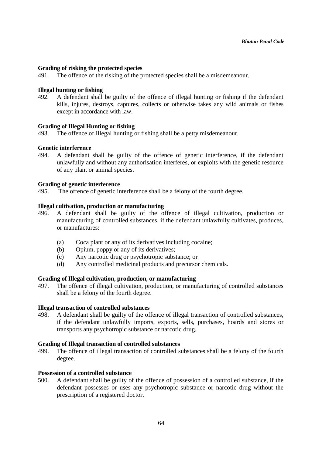## **Grading of risking the protected species**

491. The offence of the risking of the protected species shall be a misdemeanour.

## **Illegal hunting or fishing**

492. A defendant shall be guilty of the offence of illegal hunting or fishing if the defendant kills, injures, destroys, captures, collects or otherwise takes any wild animals or fishes except in accordance with law.

# **Grading of Illegal Hunting or fishing**

493. The offence of Illegal hunting or fishing shall be a petty misdemeanour.

## **Genetic interference**

494. A defendant shall be guilty of the offence of genetic interference, if the defendant unlawfully and without any authorisation interferes, or exploits with the genetic resource of any plant or animal species.

## **Grading of genetic interference**

495. The offence of genetic interference shall be a felony of the fourth degree.

## **Illegal cultivation, production or manufacturing**

- 496. A defendant shall be guilty of the offence of illegal cultivation, production or manufacturing of controlled substances, if the defendant unlawfully cultivates, produces, or manufactures:
	- (a) Coca plant or any of its derivatives including cocaine;
	- (b) Opium, poppy or any of its derivatives;
	- (c) Any narcotic drug or psychotropic substance; or
	- (d) Any controlled medicinal products and precursor chemicals.

### **Grading of Illegal cultivation, production, or manufacturing**

497. The offence of illegal cultivation, production, or manufacturing of controlled substances shall be a felony of the fourth degree.

### **Illegal transaction of controlled substances**

498. A defendant shall be guilty of the offence of illegal transaction of controlled substances, if the defendant unlawfully imports, exports, sells, purchases, hoards and stores or transports any psychotropic substance or narcotic drug.

### **Grading of Illegal transaction of controlled substances**

499. The offence of illegal transaction of controlled substances shall be a felony of the fourth degree.

### **Possession of a controlled substance**

500. A defendant shall be guilty of the offence of possession of a controlled substance, if the defendant possesses or uses any psychotropic substance or narcotic drug without the prescription of a registered doctor.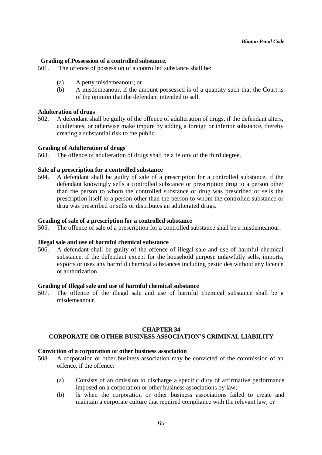### **Grading of Possession of a controlled substance.**

501. The offence of possession of a controlled substance shall be:

- (a) A petty misdemeanour; or
- (b) A misdemeanour, if the amount possessed is of a quantity such that the Court is of the opinion that the defendant intended to sell.

#### **Adulteration of drugs**

502. A defendant shall be guilty of the offence of adulteration of drugs, if the defendant alters, adulterates, or otherwise make impure by adding a foreign or inferior substance, thereby creating a substantial risk to the public.

#### **Grading of Adulteration of drugs**

503. The offence of adulteration of drugs shall be a felony of the third degree.

#### **Sale of a prescription for a controlled substance**

504. A defendant shall be guilty of sale of a prescription for a controlled substance, if the defendant knowingly sells a controlled substance or prescription drug to a person other than the person to whom the controlled substance or drug was prescribed or sells the prescription itself to a person other than the person to whom the controlled substance or drug was prescribed or sells or distributes an adulterated drugs.

#### **Grading of sale of a prescription for a controlled substance**

505. The offence of sale of a prescription for a controlled substance shall be a misdemeanour.

#### **Illegal sale and use of harmful chemical substance**

506. A defendant shall be guilty of the offence of illegal sale and use of harmful chemical substance, if the defendant except for the household purpose unlawfully sells, imports, exports or uses any harmful chemical substances including pesticides without any licence or authorization.

#### **Grading of Illegal sale and use of harmful chemical substance**

507. The offence of the illegal sale and use of harmful chemical substance shall be a misdemeanour.

### **CHAPTER 34**

# **CORPORATE OR OTHER BUSINESS ASSOCIATION'S CRIMINAL LIABILITY**

## **Conviction of a corporation or other business association**

- 508. A corporation or other business association may be convicted of the commission of an offence, if the offence:
	- (a) Consists of an omission to discharge a specific duty of affirmative performance imposed on a corporation or other business associations by law;
	- (b) Is when the corporation or other business associations failed to create and maintain a corporate culture that required compliance with the relevant law; or